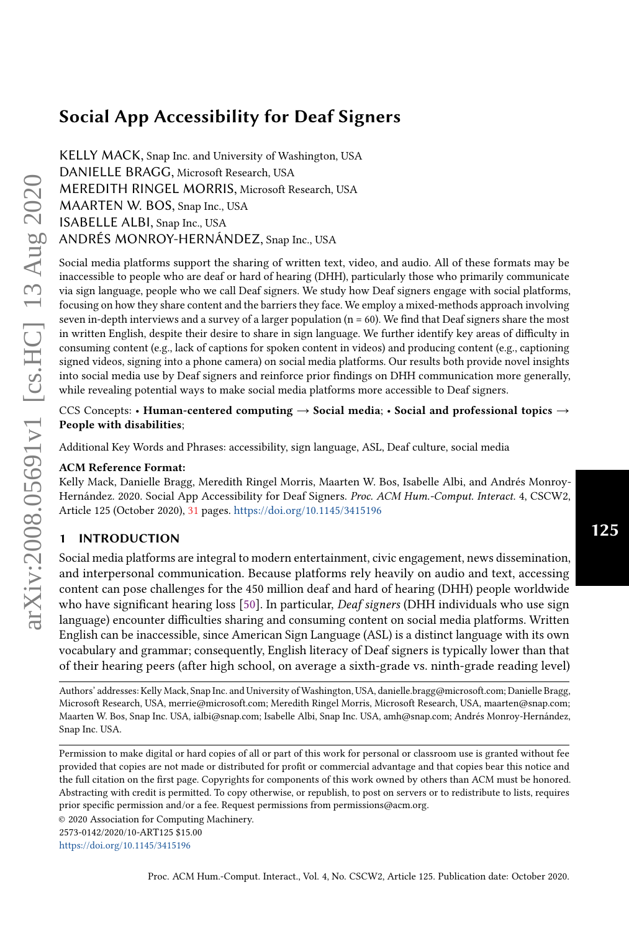# Social App Accessibility for Deaf Signers

KELLY MACK, Snap Inc. and University of Washington, USA DANIELLE BRAGG, Microsoft Research, USA MEREDITH RINGEL MORRIS, Microsoft Research, USA MAARTEN W. BOS, Snap Inc., USA ISABELLE ALBI, Snap Inc., USA ANDRÉS MONROY-HERNÁNDEZ, Snap Inc., USA

Social media platforms support the sharing of written text, video, and audio. All of these formats may be inaccessible to people who are deaf or hard of hearing (DHH), particularly those who primarily communicate via sign language, people who we call Deaf signers. We study how Deaf signers engage with social platforms, focusing on how they share content and the barriers they face. We employ a mixed-methods approach involving seven in-depth interviews and a survey of a larger population (n = 60). We find that Deaf signers share the most in written English, despite their desire to share in sign language. We further identify key areas of difficulty in consuming content (e.g., lack of captions for spoken content in videos) and producing content (e.g., captioning signed videos, signing into a phone camera) on social media platforms. Our results both provide novel insights into social media use by Deaf signers and reinforce prior findings on DHH communication more generally, while revealing potential ways to make social media platforms more accessible to Deaf signers.

CCS Concepts: • Human-centered computing  $\rightarrow$  Social media; • Social and professional topics  $\rightarrow$ People with disabilities;

Additional Key Words and Phrases: accessibility, sign language, ASL, Deaf culture, social media

#### ACM Reference Format:

Kelly Mack, Danielle Bragg, Meredith Ringel Morris, Maarten W. Bos, Isabelle Albi, and Andrés Monroy-Hernández. 2020. Social App Accessibility for Deaf Signers. Proc. ACM Hum.-Comput. Interact. 4, CSCW2, Article 125 (October 2020), [31](#page-30-0) pages. <https://doi.org/10.1145/3415196>

#### 1 INTRODUCTION

Social media platforms are integral to modern entertainment, civic engagement, news dissemination, and interpersonal communication. Because platforms rely heavily on audio and text, accessing content can pose challenges for the 450 million deaf and hard of hearing (DHH) people worldwide who have significant hearing loss [\[50\]](#page-29-0). In particular, *Deaf signers* (DHH individuals who use sign language) encounter difficulties sharing and consuming content on social media platforms. Written English can be inaccessible, since American Sign Language (ASL) is a distinct language with its own vocabulary and grammar; consequently, English literacy of Deaf signers is typically lower than that of their hearing peers (after high school, on average a sixth-grade vs. ninth-grade reading level)

© 2020 Association for Computing Machinery.

2573-0142/2020/10-ART125 \$15.00

<https://doi.org/10.1145/3415196>

125

Authors' addresses: Kelly Mack, Snap Inc. and University of Washington, USA, danielle.bragg@microsoft.com; Danielle Bragg, Microsoft Research, USA, merrie@microsoft.com; Meredith Ringel Morris, Microsoft Research, USA, maarten@snap.com; Maarten W. Bos, Snap Inc. USA, ialbi@snap.com; Isabelle Albi, Snap Inc. USA, amh@snap.com; Andrés Monroy-Hernández, Snap Inc. USA.

Permission to make digital or hard copies of all or part of this work for personal or classroom use is granted without fee provided that copies are not made or distributed for profit or commercial advantage and that copies bear this notice and the full citation on the first page. Copyrights for components of this work owned by others than ACM must be honored. Abstracting with credit is permitted. To copy otherwise, or republish, to post on servers or to redistribute to lists, requires prior specific permission and/or a fee. Request permissions from permissions@acm.org.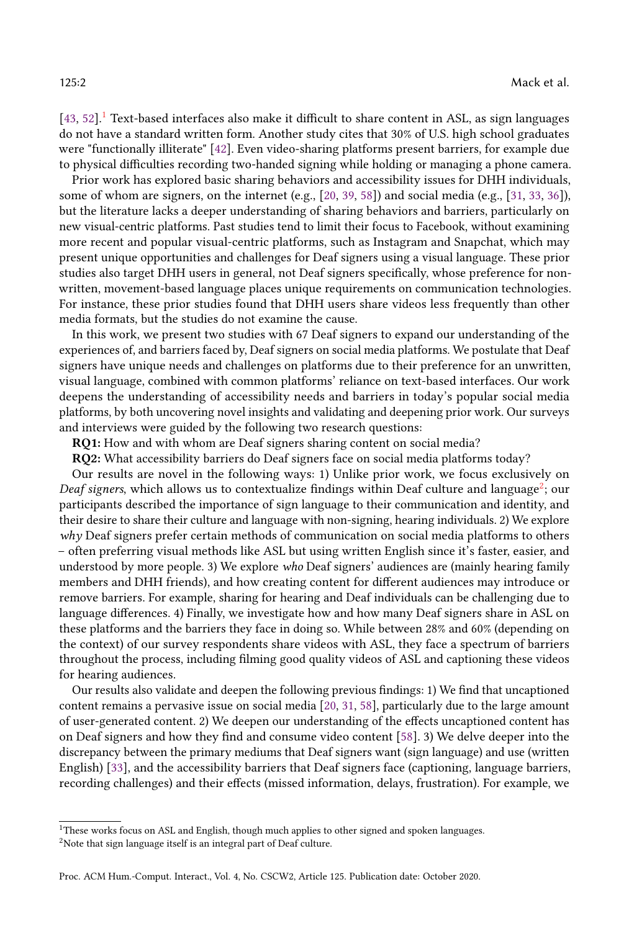$[43, 52]$  $[43, 52]$  $[43, 52]$ .<sup>[1](#page-1-0)</sup> Text-based interfaces also make it difficult to share content in ASL, as sign languages do not have a standard written form. Another study cites that 30% of U.S. high school graduates were "functionally illiterate" [\[42\]](#page-29-3). Even video-sharing platforms present barriers, for example due to physical difficulties recording two-handed signing while holding or managing a phone camera.

Prior work has explored basic sharing behaviors and accessibility issues for DHH individuals, some of whom are signers, on the internet (e.g., [\[20,](#page-28-0) [39,](#page-29-4) [58\]](#page-30-1)) and social media (e.g., [\[31,](#page-28-1) [33,](#page-29-5) [36\]](#page-29-6)), but the literature lacks a deeper understanding of sharing behaviors and barriers, particularly on new visual-centric platforms. Past studies tend to limit their focus to Facebook, without examining more recent and popular visual-centric platforms, such as Instagram and Snapchat, which may present unique opportunities and challenges for Deaf signers using a visual language. These prior studies also target DHH users in general, not Deaf signers specifically, whose preference for nonwritten, movement-based language places unique requirements on communication technologies. For instance, these prior studies found that DHH users share videos less frequently than other media formats, but the studies do not examine the cause.

In this work, we present two studies with 67 Deaf signers to expand our understanding of the experiences of, and barriers faced by, Deaf signers on social media platforms. We postulate that Deaf signers have unique needs and challenges on platforms due to their preference for an unwritten, visual language, combined with common platforms' reliance on text-based interfaces. Our work deepens the understanding of accessibility needs and barriers in today's popular social media platforms, by both uncovering novel insights and validating and deepening prior work. Our surveys and interviews were guided by the following two research questions:

RQ1: How and with whom are Deaf signers sharing content on social media?

RQ2: What accessibility barriers do Deaf signers face on social media platforms today?

Our results are novel in the following ways: 1) Unlike prior work, we focus exclusively on Deaf signers, which allows us to contextualize findings within Deaf culture and language<sup>[2](#page-1-1)</sup>; our participants described the importance of sign language to their communication and identity, and their desire to share their culture and language with non-signing, hearing individuals. 2) We explore why Deaf signers prefer certain methods of communication on social media platforms to others – often preferring visual methods like ASL but using written English since it's faster, easier, and understood by more people. 3) We explore who Deaf signers' audiences are (mainly hearing family members and DHH friends), and how creating content for different audiences may introduce or remove barriers. For example, sharing for hearing and Deaf individuals can be challenging due to language differences. 4) Finally, we investigate how and how many Deaf signers share in ASL on these platforms and the barriers they face in doing so. While between 28% and 60% (depending on the context) of our survey respondents share videos with ASL, they face a spectrum of barriers throughout the process, including filming good quality videos of ASL and captioning these videos for hearing audiences.

Our results also validate and deepen the following previous findings: 1) We find that uncaptioned content remains a pervasive issue on social media [\[20,](#page-28-0) [31,](#page-28-1) [58\]](#page-30-1), particularly due to the large amount of user-generated content. 2) We deepen our understanding of the effects uncaptioned content has on Deaf signers and how they find and consume video content [\[58\]](#page-30-1). 3) We delve deeper into the discrepancy between the primary mediums that Deaf signers want (sign language) and use (written English) [\[33\]](#page-29-5), and the accessibility barriers that Deaf signers face (captioning, language barriers, recording challenges) and their effects (missed information, delays, frustration). For example, we

<span id="page-1-0"></span> $^{\rm 1}$  These works focus on ASL and English, though much applies to other signed and spoken languages.

<span id="page-1-1"></span> $^{2}$  Note that sign language itself is an integral part of Deaf culture.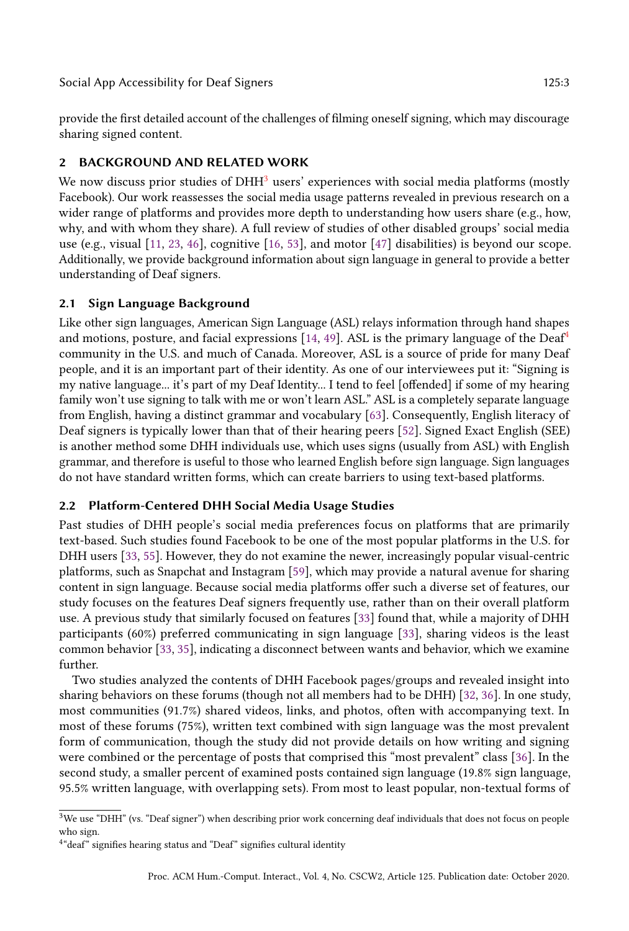provide the first detailed account of the challenges of filming oneself signing, which may discourage sharing signed content.

#### 2 BACKGROUND AND RELATED WORK

We now discuss prior studies of  $DHH<sup>3</sup>$  $DHH<sup>3</sup>$  $DHH<sup>3</sup>$  users' experiences with social media platforms (mostly Facebook). Our work reassesses the social media usage patterns revealed in previous research on a wider range of platforms and provides more depth to understanding how users share (e.g., how, why, and with whom they share). A full review of studies of other disabled groups' social media use (e.g., visual [\[11,](#page-28-2) [23,](#page-28-3) [46\]](#page-29-7), cognitive [\[16,](#page-28-4) [53\]](#page-29-8), and motor [\[47\]](#page-29-9) disabilities) is beyond our scope. Additionally, we provide background information about sign language in general to provide a better understanding of Deaf signers.

#### 2.1 Sign Language Background

Like other sign languages, American Sign Language (ASL) relays information through hand shapes and motions, posture, and facial expressions  $[14, 49]$  $[14, 49]$  $[14, 49]$ . ASL is the primary language of the Deaf<sup>[4](#page-2-1)</sup> community in the U.S. and much of Canada. Moreover, ASL is a source of pride for many Deaf people, and it is an important part of their identity. As one of our interviewees put it: "Signing is my native language... it's part of my Deaf Identity... I tend to feel [offended] if some of my hearing family won't use signing to talk with me or won't learn ASL." ASL is a completely separate language from English, having a distinct grammar and vocabulary [\[63\]](#page-30-2). Consequently, English literacy of Deaf signers is typically lower than that of their hearing peers [\[52\]](#page-29-2). Signed Exact English (SEE) is another method some DHH individuals use, which uses signs (usually from ASL) with English grammar, and therefore is useful to those who learned English before sign language. Sign languages do not have standard written forms, which can create barriers to using text-based platforms.

### 2.2 Platform-Centered DHH Social Media Usage Studies

Past studies of DHH people's social media preferences focus on platforms that are primarily text-based. Such studies found Facebook to be one of the most popular platforms in the U.S. for DHH users [\[33,](#page-29-5) [55\]](#page-29-11). However, they do not examine the newer, increasingly popular visual-centric platforms, such as Snapchat and Instagram [\[59\]](#page-30-3), which may provide a natural avenue for sharing content in sign language. Because social media platforms offer such a diverse set of features, our study focuses on the features Deaf signers frequently use, rather than on their overall platform use. A previous study that similarly focused on features [\[33\]](#page-29-5) found that, while a majority of DHH participants (60%) preferred communicating in sign language [\[33\]](#page-29-5), sharing videos is the least common behavior [\[33,](#page-29-5) [35\]](#page-29-12), indicating a disconnect between wants and behavior, which we examine further.

Two studies analyzed the contents of DHH Facebook pages/groups and revealed insight into sharing behaviors on these forums (though not all members had to be DHH) [\[32,](#page-29-13) [36\]](#page-29-6). In one study, most communities (91.7%) shared videos, links, and photos, often with accompanying text. In most of these forums (75%), written text combined with sign language was the most prevalent form of communication, though the study did not provide details on how writing and signing were combined or the percentage of posts that comprised this "most prevalent" class [\[36\]](#page-29-6). In the second study, a smaller percent of examined posts contained sign language (19.8% sign language, 95.5% written language, with overlapping sets). From most to least popular, non-textual forms of

<span id="page-2-0"></span><sup>&</sup>lt;sup>3</sup>We use "DHH" (vs. "Deaf signer") when describing prior work concerning deaf individuals that does not focus on people who sign.

<span id="page-2-1"></span><sup>&</sup>lt;sup>4</sup>"deaf" signifies hearing status and "Deaf" signifies cultural identity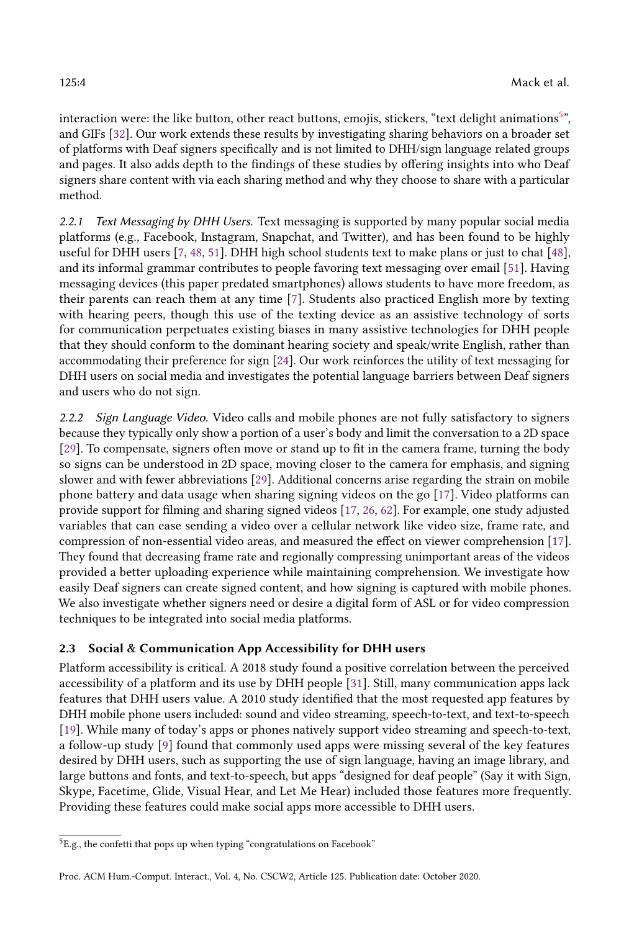interaction were: the like button, other react buttons, emojis, stickers, "text delight animations $5^\circ$  $5^\circ$ , and GIFs [\[32\]](#page-29-13). Our work extends these results by investigating sharing behaviors on a broader set of platforms with Deaf signers specifically and is not limited to DHH/sign language related groups and pages. It also adds depth to the findings of these studies by offering insights into who Deaf signers share content with via each sharing method and why they choose to share with a particular method.

2.2.1 Text Messaging by DHH Users. Text messaging is supported by many popular social media platforms (e.g., Facebook, Instagram, Snapchat, and Twitter), and has been found to be highly useful for DHH users [\[7,](#page-27-0) [48,](#page-29-14) [51\]](#page-29-15). DHH high school students text to make plans or just to chat [\[48\]](#page-29-14), and its informal grammar contributes to people favoring text messaging over email [\[51\]](#page-29-15). Having messaging devices (this paper predated smartphones) allows students to have more freedom, as their parents can reach them at any time [\[7\]](#page-27-0). Students also practiced English more by texting with hearing peers, though this use of the texting device as an assistive technology of sorts for communication perpetuates existing biases in many assistive technologies for DHH people that they should conform to the dominant hearing society and speak/write English, rather than accommodating their preference for sign [\[24\]](#page-28-6). Our work reinforces the utility of text messaging for DHH users on social media and investigates the potential language barriers between Deaf signers and users who do not sign.

2.2.2 Sign Language Video. Video calls and mobile phones are not fully satisfactory to signers because they typically only show a portion of a user's body and limit the conversation to a 2D space [\[29\]](#page-28-7). To compensate, signers often move or stand up to fit in the camera frame, turning the body so signs can be understood in 2D space, moving closer to the camera for emphasis, and signing slower and with fewer abbreviations [\[29\]](#page-28-7). Additional concerns arise regarding the strain on mobile phone battery and data usage when sharing signing videos on the go [\[17\]](#page-28-8). Video platforms can provide support for filming and sharing signed videos [\[17,](#page-28-8) [26,](#page-28-9) [62\]](#page-30-4). For example, one study adjusted variables that can ease sending a video over a cellular network like video size, frame rate, and compression of non-essential video areas, and measured the effect on viewer comprehension [\[17\]](#page-28-8). They found that decreasing frame rate and regionally compressing unimportant areas of the videos provided a better uploading experience while maintaining comprehension. We investigate how easily Deaf signers can create signed content, and how signing is captured with mobile phones. We also investigate whether signers need or desire a digital form of ASL or for video compression techniques to be integrated into social media platforms.

### 2.3 Social & Communication App Accessibility for DHH users

Platform accessibility is critical. A 2018 study found a positive correlation between the perceived accessibility of a platform and its use by DHH people [\[31\]](#page-28-1). Still, many communication apps lack features that DHH users value. A 2010 study identified that the most requested app features by DHH mobile phone users included: sound and video streaming, speech-to-text, and text-to-speech [\[19\]](#page-28-10). While many of today's apps or phones natively support video streaming and speech-to-text, a follow-up study [\[9\]](#page-28-11) found that commonly used apps were missing several of the key features desired by DHH users, such as supporting the use of sign language, having an image library, and large buttons and fonts, and text-to-speech, but apps "designed for deaf people" (Say it with Sign, Skype, Facetime, Glide, Visual Hear, and Let Me Hear) included those features more frequently. Providing these features could make social apps more accessible to DHH users.

<span id="page-3-0"></span><sup>&</sup>lt;sup>5</sup>E.g., the confetti that pops up when typing "congratulations on Facebook"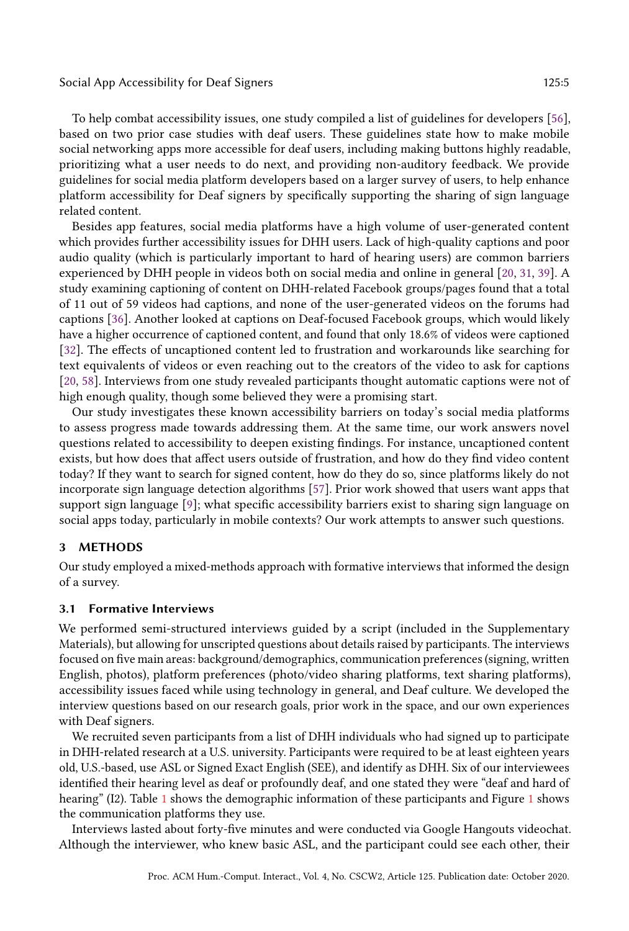#### Social App Accessibility for Deaf Signers 125:5

To help combat accessibility issues, one study compiled a list of guidelines for developers [\[56\]](#page-29-16), based on two prior case studies with deaf users. These guidelines state how to make mobile social networking apps more accessible for deaf users, including making buttons highly readable, prioritizing what a user needs to do next, and providing non-auditory feedback. We provide guidelines for social media platform developers based on a larger survey of users, to help enhance platform accessibility for Deaf signers by specifically supporting the sharing of sign language related content.

Besides app features, social media platforms have a high volume of user-generated content which provides further accessibility issues for DHH users. Lack of high-quality captions and poor audio quality (which is particularly important to hard of hearing users) are common barriers experienced by DHH people in videos both on social media and online in general [\[20,](#page-28-0) [31,](#page-28-1) [39\]](#page-29-4). A study examining captioning of content on DHH-related Facebook groups/pages found that a total of 11 out of 59 videos had captions, and none of the user-generated videos on the forums had captions [\[36\]](#page-29-6). Another looked at captions on Deaf-focused Facebook groups, which would likely have a higher occurrence of captioned content, and found that only 18.6% of videos were captioned [\[32\]](#page-29-13). The effects of uncaptioned content led to frustration and workarounds like searching for text equivalents of videos or even reaching out to the creators of the video to ask for captions [\[20,](#page-28-0) [58\]](#page-30-1). Interviews from one study revealed participants thought automatic captions were not of high enough quality, though some believed they were a promising start.

Our study investigates these known accessibility barriers on today's social media platforms to assess progress made towards addressing them. At the same time, our work answers novel questions related to accessibility to deepen existing findings. For instance, uncaptioned content exists, but how does that affect users outside of frustration, and how do they find video content today? If they want to search for signed content, how do they do so, since platforms likely do not incorporate sign language detection algorithms [\[57\]](#page-30-5). Prior work showed that users want apps that support sign language [\[9\]](#page-28-11); what specific accessibility barriers exist to sharing sign language on social apps today, particularly in mobile contexts? Our work attempts to answer such questions.

#### 3 METHODS

Our study employed a mixed-methods approach with formative interviews that informed the design of a survey.

#### 3.1 Formative Interviews

We performed semi-structured interviews guided by a script (included in the Supplementary Materials), but allowing for unscripted questions about details raised by participants. The interviews focused on five main areas: background/demographics, communication preferences (signing, written English, photos), platform preferences (photo/video sharing platforms, text sharing platforms), accessibility issues faced while using technology in general, and Deaf culture. We developed the interview questions based on our research goals, prior work in the space, and our own experiences with Deaf signers.

We recruited seven participants from a list of DHH individuals who had signed up to participate in DHH-related research at a U.S. university. Participants were required to be at least eighteen years old, U.S.-based, use ASL or Signed Exact English (SEE), and identify as DHH. Six of our interviewees identified their hearing level as deaf or profoundly deaf, and one stated they were "deaf and hard of hearing" (I2). Table [1](#page-6-0) shows the demographic information of these participants and Figure [1](#page-5-0) shows the communication platforms they use.

Interviews lasted about forty-five minutes and were conducted via Google Hangouts videochat. Although the interviewer, who knew basic ASL, and the participant could see each other, their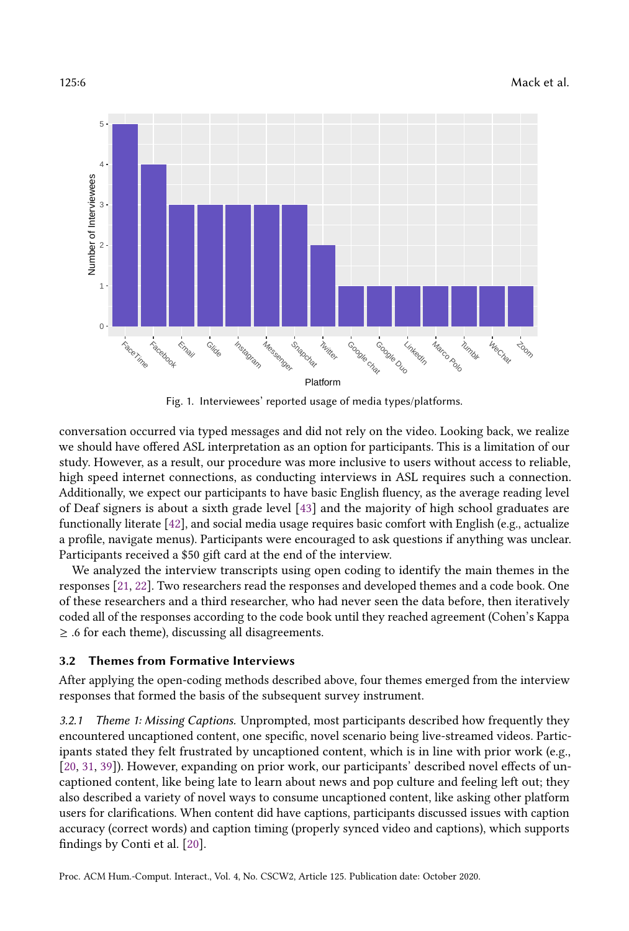<span id="page-5-0"></span>

Fig. 1. Interviewees' reported usage of media types/platforms.

conversation occurred via typed messages and did not rely on the video. Looking back, we realize we should have offered ASL interpretation as an option for participants. This is a limitation of our study. However, as a result, our procedure was more inclusive to users without access to reliable, high speed internet connections, as conducting interviews in ASL requires such a connection. Additionally, we expect our participants to have basic English fluency, as the average reading level of Deaf signers is about a sixth grade level [\[43\]](#page-29-1) and the majority of high school graduates are functionally literate [\[42\]](#page-29-3), and social media usage requires basic comfort with English (e.g., actualize a profile, navigate menus). Participants were encouraged to ask questions if anything was unclear. Participants received a \$50 gift card at the end of the interview.

We analyzed the interview transcripts using open coding to identify the main themes in the responses [\[21,](#page-28-12) [22\]](#page-28-13). Two researchers read the responses and developed themes and a code book. One of these researchers and a third researcher, who had never seen the data before, then iteratively coded all of the responses according to the code book until they reached agreement (Cohen's Kappa  $\geq$  .6 for each theme), discussing all disagreements.

#### 3.2 Themes from Formative Interviews

After applying the open-coding methods described above, four themes emerged from the interview responses that formed the basis of the subsequent survey instrument.

3.2.1 Theme 1: Missing Captions. Unprompted, most participants described how frequently they encountered uncaptioned content, one specific, novel scenario being live-streamed videos. Participants stated they felt frustrated by uncaptioned content, which is in line with prior work (e.g., [\[20,](#page-28-0) [31,](#page-28-1) [39\]](#page-29-4)). However, expanding on prior work, our participants' described novel effects of uncaptioned content, like being late to learn about news and pop culture and feeling left out; they also described a variety of novel ways to consume uncaptioned content, like asking other platform users for clarifications. When content did have captions, participants discussed issues with caption accuracy (correct words) and caption timing (properly synced video and captions), which supports findings by Conti et al. [\[20\]](#page-28-0).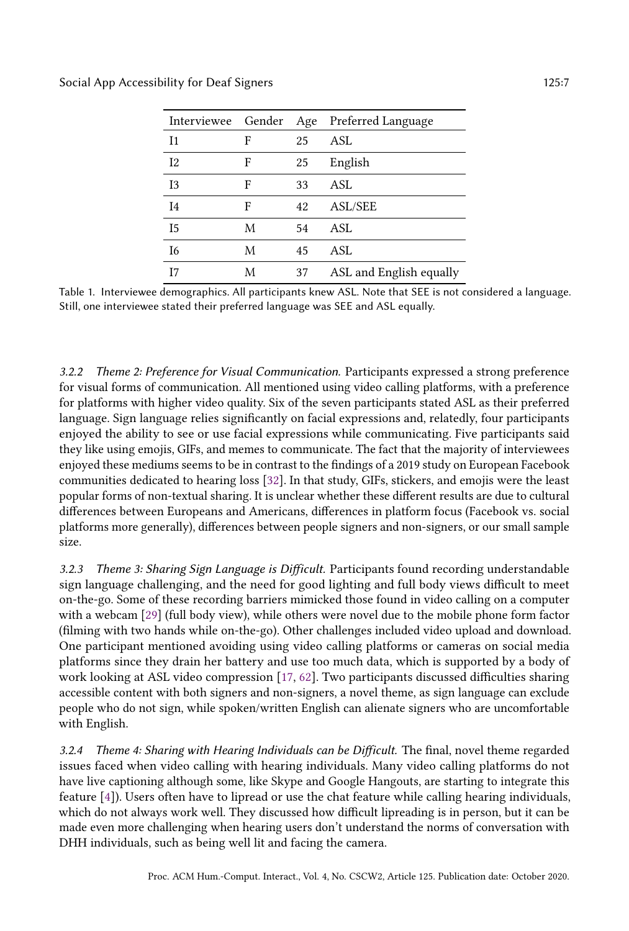<span id="page-6-0"></span>

|                |   |    | Interviewee Gender Age Preferred Language |
|----------------|---|----|-------------------------------------------|
| I <sub>1</sub> | F | 25 | ASL                                       |
| I <sub>2</sub> | F | 25 | English                                   |
| I <sub>3</sub> | F | 33 | <b>ASL</b>                                |
| I <sub>4</sub> | F | 42 | <b>ASL/SEE</b>                            |
| I <sub>5</sub> | M | 54 | ASL                                       |
| I6             | M | 45 | <b>ASL</b>                                |
| T7             | М | 37 | ASL and English equally                   |

Table 1. Interviewee demographics. All participants knew ASL. Note that SEE is not considered a language. Still, one interviewee stated their preferred language was SEE and ASL equally.

3.2.2 Theme 2: Preference for Visual Communication. Participants expressed a strong preference for visual forms of communication. All mentioned using video calling platforms, with a preference for platforms with higher video quality. Six of the seven participants stated ASL as their preferred language. Sign language relies significantly on facial expressions and, relatedly, four participants enjoyed the ability to see or use facial expressions while communicating. Five participants said they like using emojis, GIFs, and memes to communicate. The fact that the majority of interviewees enjoyed these mediums seems to be in contrast to the findings of a 2019 study on European Facebook communities dedicated to hearing loss [\[32\]](#page-29-13). In that study, GIFs, stickers, and emojis were the least popular forms of non-textual sharing. It is unclear whether these different results are due to cultural differences between Europeans and Americans, differences in platform focus (Facebook vs. social platforms more generally), differences between people signers and non-signers, or our small sample size.

3.2.3 Theme 3: Sharing Sign Language is Difficult. Participants found recording understandable sign language challenging, and the need for good lighting and full body views difficult to meet on-the-go. Some of these recording barriers mimicked those found in video calling on a computer with a webcam [\[29\]](#page-28-7) (full body view), while others were novel due to the mobile phone form factor (filming with two hands while on-the-go). Other challenges included video upload and download. One participant mentioned avoiding using video calling platforms or cameras on social media platforms since they drain her battery and use too much data, which is supported by a body of work looking at ASL video compression [\[17,](#page-28-8) [62\]](#page-30-4). Two participants discussed difficulties sharing accessible content with both signers and non-signers, a novel theme, as sign language can exclude people who do not sign, while spoken/written English can alienate signers who are uncomfortable with English.

3.2.4 Theme 4: Sharing with Hearing Individuals can be Difficult. The final, novel theme regarded issues faced when video calling with hearing individuals. Many video calling platforms do not have live captioning although some, like Skype and Google Hangouts, are starting to integrate this feature [\[4\]](#page-27-1)). Users often have to lipread or use the chat feature while calling hearing individuals, which do not always work well. They discussed how difficult lipreading is in person, but it can be made even more challenging when hearing users don't understand the norms of conversation with DHH individuals, such as being well lit and facing the camera.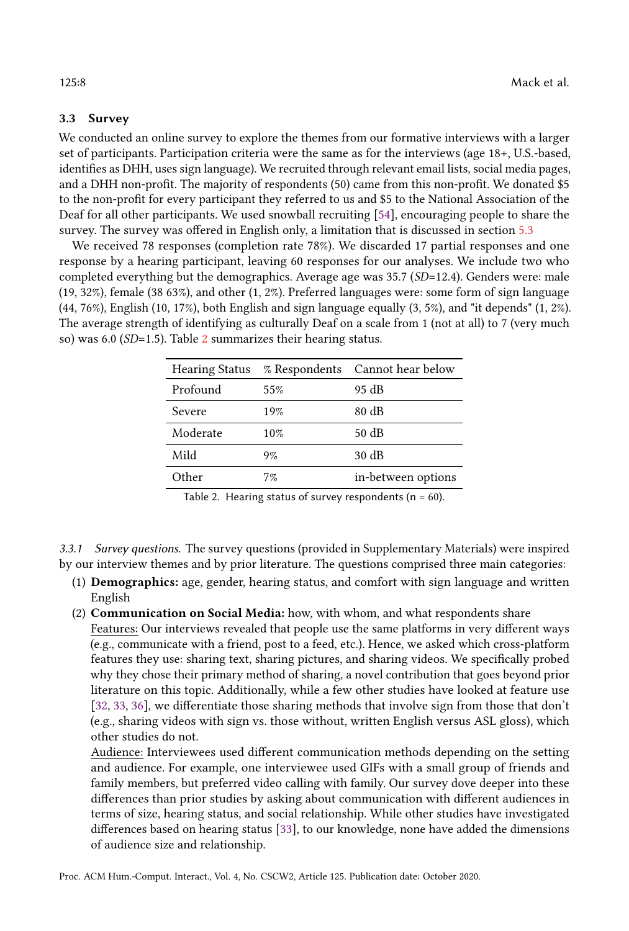#### 3.3 Survey

We conducted an online survey to explore the themes from our formative interviews with a larger set of participants. Participation criteria were the same as for the interviews (age 18+, U.S.-based, identifies as DHH, uses sign language). We recruited through relevant email lists, social media pages, and a DHH non-profit. The majority of respondents (50) came from this non-profit. We donated \$5 to the non-profit for every participant they referred to us and \$5 to the National Association of the Deaf for all other participants. We used snowball recruiting [\[54\]](#page-29-17), encouraging people to share the survey. The survey was offered in English only, a limitation that is discussed in section [5.3](#page-20-0)

We received 78 responses (completion rate 78%). We discarded 17 partial responses and one response by a hearing participant, leaving 60 responses for our analyses. We include two who completed everything but the demographics. Average age was 35.7 (SD=12.4). Genders were: male (19, 32%), female (38 63%), and other (1, 2%). Preferred languages were: some form of sign language (44, 76%), English (10, 17%), both English and sign language equally (3, 5%), and "it depends" (1, 2%). The average strength of identifying as culturally Deaf on a scale from 1 (not at all) to 7 (very much so) was 6.0 (SD=1.5). Table [2](#page-7-0) summarizes their hearing status.

<span id="page-7-0"></span>

| <b>Hearing Status</b> |     | % Respondents Cannot hear below |
|-----------------------|-----|---------------------------------|
| Profound              | 55% | 95 dB                           |
| Severe                | 19% | $80 \text{ dB}$                 |
| Moderate              | 10% | 50 dB                           |
| Mild                  | 9%  | $30 \text{ dB}$                 |
| 0ther                 | 7%  | in-between options              |

Table 2. Hearing status of survey respondents ( $n = 60$ ).

3.3.1 Survey questions. The survey questions (provided in Supplementary Materials) were inspired by our interview themes and by prior literature. The questions comprised three main categories:

- (1) Demographics: age, gender, hearing status, and comfort with sign language and written English
- (2) Communication on Social Media: how, with whom, and what respondents share

Features: Our interviews revealed that people use the same platforms in very different ways (e.g., communicate with a friend, post to a feed, etc.). Hence, we asked which cross-platform features they use: sharing text, sharing pictures, and sharing videos. We specifically probed why they chose their primary method of sharing, a novel contribution that goes beyond prior literature on this topic. Additionally, while a few other studies have looked at feature use [\[32,](#page-29-13) [33,](#page-29-5) [36\]](#page-29-6), we differentiate those sharing methods that involve sign from those that don't (e.g., sharing videos with sign vs. those without, written English versus ASL gloss), which other studies do not.

Audience: Interviewees used different communication methods depending on the setting and audience. For example, one interviewee used GIFs with a small group of friends and family members, but preferred video calling with family. Our survey dove deeper into these differences than prior studies by asking about communication with different audiences in terms of size, hearing status, and social relationship. While other studies have investigated differences based on hearing status [\[33\]](#page-29-5), to our knowledge, none have added the dimensions of audience size and relationship.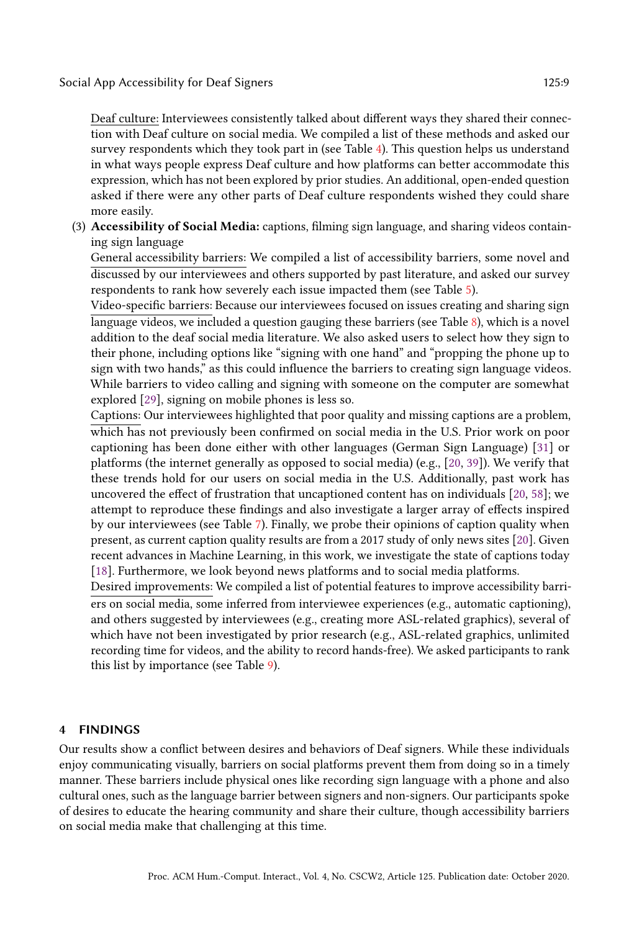Deaf culture: Interviewees consistently talked about different ways they shared their connection with Deaf culture on social media. We compiled a list of these methods and asked our survey respondents which they took part in (see Table [4\)](#page-11-0). This question helps us understand in what ways people express Deaf culture and how platforms can better accommodate this expression, which has not been explored by prior studies. An additional, open-ended question asked if there were any other parts of Deaf culture respondents wished they could share more easily.

(3) Accessibility of Social Media: captions, filming sign language, and sharing videos containing sign language

General accessibility barriers: We compiled a list of accessibility barriers, some novel and discussed by our interviewees and others supported by past literature, and asked our survey respondents to rank how severely each issue impacted them (see Table [5\)](#page-12-0).

Video-specific barriers: Because our interviewees focused on issues creating and sharing sign language videos, we included a question gauging these barriers (see Table [8\)](#page-15-0), which is a novel addition to the deaf social media literature. We also asked users to select how they sign to their phone, including options like "signing with one hand" and "propping the phone up to sign with two hands," as this could influence the barriers to creating sign language videos. While barriers to video calling and signing with someone on the computer are somewhat explored [\[29\]](#page-28-7), signing on mobile phones is less so.

Captions: Our interviewees highlighted that poor quality and missing captions are a problem, which has not previously been confirmed on social media in the U.S. Prior work on poor captioning has been done either with other languages (German Sign Language) [\[31\]](#page-28-1) or platforms (the internet generally as opposed to social media) (e.g., [\[20,](#page-28-0) [39\]](#page-29-4)). We verify that these trends hold for our users on social media in the U.S. Additionally, past work has uncovered the effect of frustration that uncaptioned content has on individuals [\[20,](#page-28-0) [58\]](#page-30-1); we attempt to reproduce these findings and also investigate a larger array of effects inspired by our interviewees (see Table [7\)](#page-13-0). Finally, we probe their opinions of caption quality when present, as current caption quality results are from a 2017 study of only news sites [\[20\]](#page-28-0). Given recent advances in Machine Learning, in this work, we investigate the state of captions today [\[18\]](#page-28-14). Furthermore, we look beyond news platforms and to social media platforms.

Desired improvements: We compiled a list of potential features to improve accessibility barriers on social media, some inferred from interviewee experiences (e.g., automatic captioning), and others suggested by interviewees (e.g., creating more ASL-related graphics), several of which have not been investigated by prior research (e.g., ASL-related graphics, unlimited recording time for videos, and the ability to record hands-free). We asked participants to rank this list by importance (see Table [9\)](#page-16-0).

#### 4 FINDINGS

Our results show a conflict between desires and behaviors of Deaf signers. While these individuals enjoy communicating visually, barriers on social platforms prevent them from doing so in a timely manner. These barriers include physical ones like recording sign language with a phone and also cultural ones, such as the language barrier between signers and non-signers. Our participants spoke of desires to educate the hearing community and share their culture, though accessibility barriers on social media make that challenging at this time.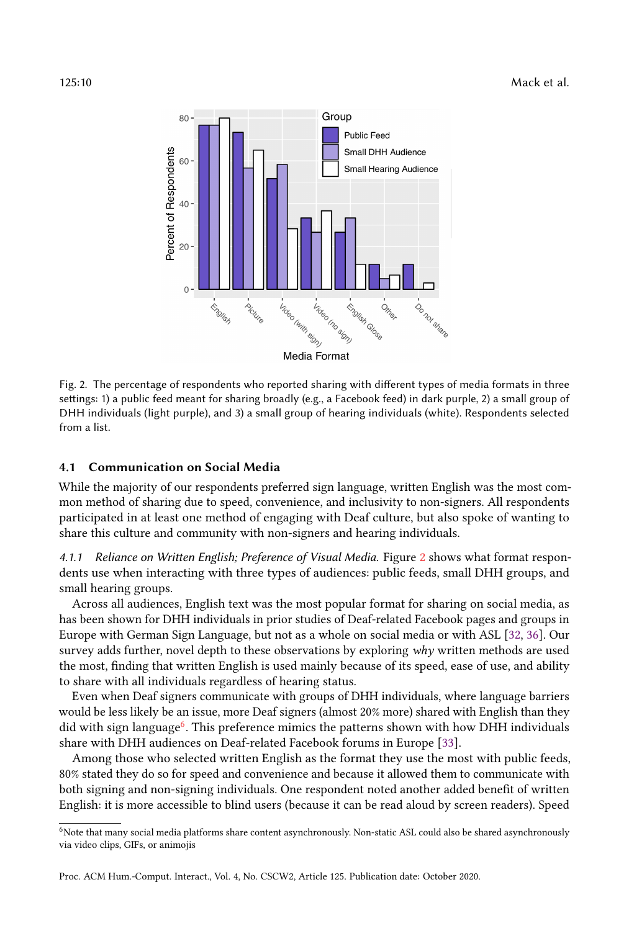<span id="page-9-0"></span>

Fig. 2. The percentage of respondents who reported sharing with different types of media formats in three settings: 1) a public feed meant for sharing broadly (e.g., a Facebook feed) in dark purple, 2) a small group of DHH individuals (light purple), and 3) a small group of hearing individuals (white). Respondents selected from a list.

#### 4.1 Communication on Social Media

While the majority of our respondents preferred sign language, written English was the most common method of sharing due to speed, convenience, and inclusivity to non-signers. All respondents participated in at least one method of engaging with Deaf culture, but also spoke of wanting to share this culture and community with non-signers and hearing individuals.

4.1.1 Reliance on Written English; Preference of Visual Media. Figure [2](#page-9-0) shows what format respondents use when interacting with three types of audiences: public feeds, small DHH groups, and small hearing groups.

Across all audiences, English text was the most popular format for sharing on social media, as has been shown for DHH individuals in prior studies of Deaf-related Facebook pages and groups in Europe with German Sign Language, but not as a whole on social media or with ASL [\[32,](#page-29-13) [36\]](#page-29-6). Our survey adds further, novel depth to these observations by exploring why written methods are used the most, finding that written English is used mainly because of its speed, ease of use, and ability to share with all individuals regardless of hearing status.

Even when Deaf signers communicate with groups of DHH individuals, where language barriers would be less likely be an issue, more Deaf signers (almost 20% more) shared with English than they did with sign language<sup>[6](#page-9-1)</sup>. This preference mimics the patterns shown with how DHH individuals share with DHH audiences on Deaf-related Facebook forums in Europe [\[33\]](#page-29-5).

Among those who selected written English as the format they use the most with public feeds, 80% stated they do so for speed and convenience and because it allowed them to communicate with both signing and non-signing individuals. One respondent noted another added benefit of written English: it is more accessible to blind users (because it can be read aloud by screen readers). Speed

<span id="page-9-1"></span><sup>6</sup>Note that many social media platforms share content asynchronously. Non-static ASL could also be shared asynchronously via video clips, GIFs, or animojis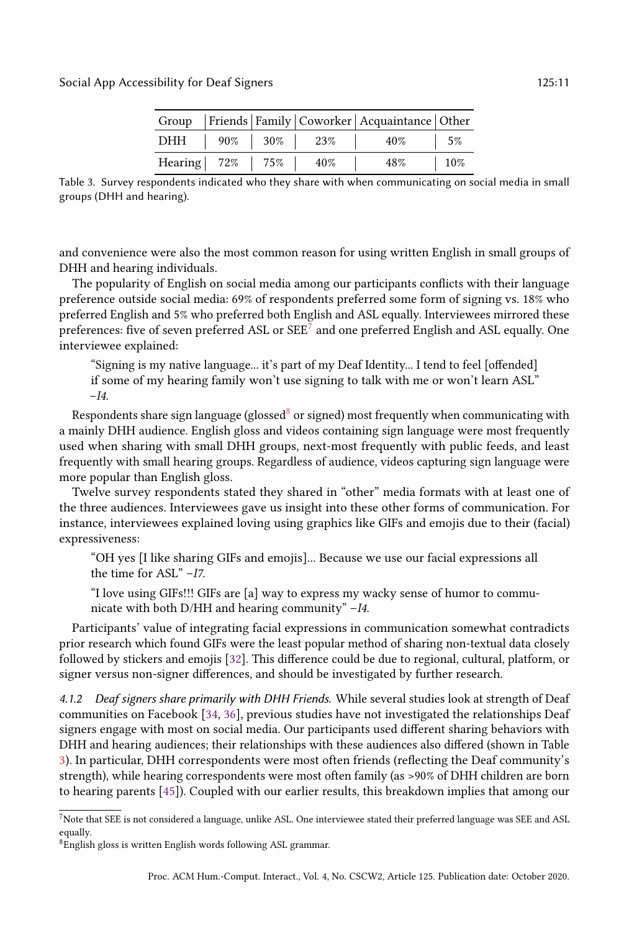|                     |  |                       | Group   Friends   Family   Coworker   Acquaintance   Other |             |
|---------------------|--|-----------------------|------------------------------------------------------------|-------------|
|                     |  | DHH   90%   30%   23% | $10\%$ 5%                                                  |             |
| Hearing 72% 75% 40% |  |                       | $48\%$                                                     | $\vert$ 10% |

<span id="page-10-2"></span>Table 3. Survey respondents indicated who they share with when communicating on social media in small groups (DHH and hearing).

and convenience were also the most common reason for using written English in small groups of DHH and hearing individuals.

The popularity of English on social media among our participants conflicts with their language preference outside social media: 69% of respondents preferred some form of signing vs. 18% who preferred English and 5% who preferred both English and ASL equally. Interviewees mirrored these preferences: five of seven preferred ASL or  $\mathrm{SEE}^{7}$  $\mathrm{SEE}^{7}$  $\mathrm{SEE}^{7}$  and one preferred English and ASL equally. One interviewee explained:

"Signing is my native language... it's part of my Deaf Identity... I tend to feel [offended] if some of my hearing family won't use signing to talk with me or won't learn ASL"  $-I4.$ 

Respondents share sign language (glossed $8$  or signed) most frequently when communicating with a mainly DHH audience. English gloss and videos containing sign language were most frequently used when sharing with small DHH groups, next-most frequently with public feeds, and least frequently with small hearing groups. Regardless of audience, videos capturing sign language were more popular than English gloss.

Twelve survey respondents stated they shared in "other" media formats with at least one of the three audiences. Interviewees gave us insight into these other forms of communication. For instance, interviewees explained loving using graphics like GIFs and emojis due to their (facial) expressiveness:

"OH yes [I like sharing GIFs and emojis]... Because we use our facial expressions all the time for ASL" –I7.

"I love using GIFs!!! GIFs are [a] way to express my wacky sense of humor to communicate with both D/HH and hearing community"  $-I4$ .

Participants' value of integrating facial expressions in communication somewhat contradicts prior research which found GIFs were the least popular method of sharing non-textual data closely followed by stickers and emojis [\[32\]](#page-29-13). This difference could be due to regional, cultural, platform, or signer versus non-signer differences, and should be investigated by further research.

4.1.2 Deaf signers share primarily with DHH Friends. While several studies look at strength of Deaf communities on Facebook [\[34,](#page-29-18) [36\]](#page-29-6), previous studies have not investigated the relationships Deaf signers engage with most on social media. Our participants used different sharing behaviors with DHH and hearing audiences; their relationships with these audiences also differed (shown in Table [3\)](#page-10-2). In particular, DHH correspondents were most often friends (reflecting the Deaf community's strength), while hearing correspondents were most often family (as >90% of DHH children are born to hearing parents [\[45\]](#page-29-19)). Coupled with our earlier results, this breakdown implies that among our

<span id="page-10-0"></span><sup>7</sup>Note that SEE is not considered a language, unlike ASL. One interviewee stated their preferred language was SEE and ASL equally.

<span id="page-10-1"></span><sup>8</sup>English gloss is written English words following ASL grammar.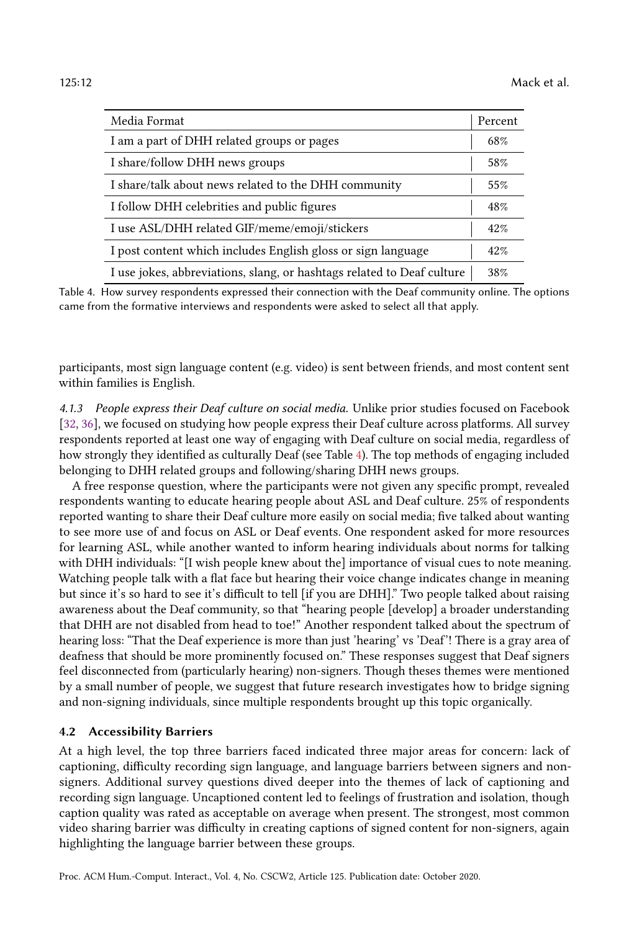<span id="page-11-0"></span>

| Media Format                                                           | Percent |
|------------------------------------------------------------------------|---------|
| I am a part of DHH related groups or pages                             | 68%     |
| I share/follow DHH news groups                                         | 58%     |
| I share/talk about news related to the DHH community                   | 55%     |
| I follow DHH celebrities and public figures                            | 48%     |
| I use ASL/DHH related GIF/meme/emoji/stickers                          | 42%     |
| I post content which includes English gloss or sign language           | 42%     |
| I use jokes, abbreviations, slang, or hashtags related to Deaf culture | 38%     |

Table 4. How survey respondents expressed their connection with the Deaf community online. The options came from the formative interviews and respondents were asked to select all that apply.

participants, most sign language content (e.g. video) is sent between friends, and most content sent within families is English.

4.1.3 People express their Deaf culture on social media. Unlike prior studies focused on Facebook [\[32,](#page-29-13) [36\]](#page-29-6), we focused on studying how people express their Deaf culture across platforms. All survey respondents reported at least one way of engaging with Deaf culture on social media, regardless of how strongly they identified as culturally Deaf (see Table [4\)](#page-11-0). The top methods of engaging included belonging to DHH related groups and following/sharing DHH news groups.

A free response question, where the participants were not given any specific prompt, revealed respondents wanting to educate hearing people about ASL and Deaf culture. 25% of respondents reported wanting to share their Deaf culture more easily on social media; five talked about wanting to see more use of and focus on ASL or Deaf events. One respondent asked for more resources for learning ASL, while another wanted to inform hearing individuals about norms for talking with DHH individuals: "[I wish people knew about the] importance of visual cues to note meaning. Watching people talk with a flat face but hearing their voice change indicates change in meaning but since it's so hard to see it's difficult to tell [if you are DHH]." Two people talked about raising awareness about the Deaf community, so that "hearing people [develop] a broader understanding that DHH are not disabled from head to toe!" Another respondent talked about the spectrum of hearing loss: "That the Deaf experience is more than just 'hearing' vs 'Deaf'! There is a gray area of deafness that should be more prominently focused on." These responses suggest that Deaf signers feel disconnected from (particularly hearing) non-signers. Though theses themes were mentioned by a small number of people, we suggest that future research investigates how to bridge signing and non-signing individuals, since multiple respondents brought up this topic organically.

#### 4.2 Accessibility Barriers

At a high level, the top three barriers faced indicated three major areas for concern: lack of captioning, difficulty recording sign language, and language barriers between signers and nonsigners. Additional survey questions dived deeper into the themes of lack of captioning and recording sign language. Uncaptioned content led to feelings of frustration and isolation, though caption quality was rated as acceptable on average when present. The strongest, most common video sharing barrier was difficulty in creating captions of signed content for non-signers, again highlighting the language barrier between these groups.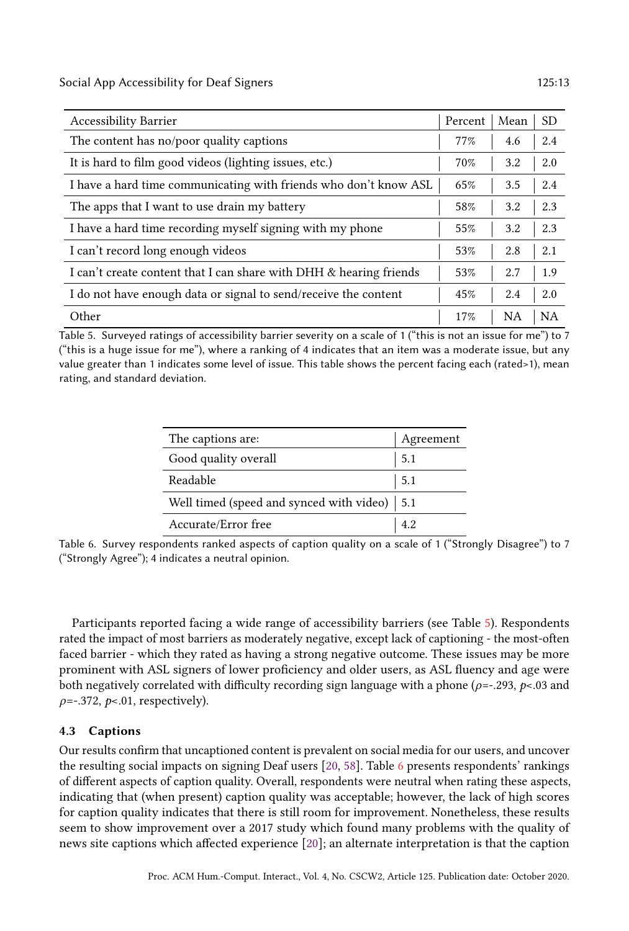Social App Accessibility for Deaf Signers 125:13

<span id="page-12-0"></span>

| <b>Accessibility Barrier</b>                                       | Percent | Mean      | <b>SD</b> |
|--------------------------------------------------------------------|---------|-----------|-----------|
| The content has no/poor quality captions                           | 77%     | 4.6       | 2.4       |
| It is hard to film good videos (lighting issues, etc.)             | 70%     | 3.2       | 2.0       |
| I have a hard time communicating with friends who don't know ASL   | 65%     | 3.5       | 2.4       |
| The apps that I want to use drain my battery                       | 58%     | 3.2       | 2.3       |
| I have a hard time recording myself signing with my phone          | 55%     | 3.2       | 2.3       |
| I can't record long enough videos                                  | 53%     | 2.8       | 2.1       |
| I can't create content that I can share with DHH & hearing friends | 53%     | 2.7       | 1.9       |
| I do not have enough data or signal to send/receive the content    | 45%     | 2.4       | 2.0       |
| Other                                                              | 17%     | <b>NA</b> | <b>NA</b> |

<span id="page-12-1"></span>Table 5. Surveyed ratings of accessibility barrier severity on a scale of 1 ("this is not an issue for me") to 7 ("this is a huge issue for me"), where a ranking of 4 indicates that an item was a moderate issue, but any value greater than 1 indicates some level of issue. This table shows the percent facing each (rated>1), mean rating, and standard deviation.

| The captions are:                                    | Agreement |
|------------------------------------------------------|-----------|
| Good quality overall                                 | 5.1       |
| Readable                                             | 5.1       |
| Well timed (speed and synced with video) $\vert$ 5.1 |           |
| Accurate/Error free                                  |           |

Table 6. Survey respondents ranked aspects of caption quality on a scale of 1 ("Strongly Disagree") to 7 ("Strongly Agree"); 4 indicates a neutral opinion.

Participants reported facing a wide range of accessibility barriers (see Table [5\)](#page-12-0). Respondents rated the impact of most barriers as moderately negative, except lack of captioning - the most-often faced barrier - which they rated as having a strong negative outcome. These issues may be more prominent with ASL signers of lower proficiency and older users, as ASL fluency and age were both negatively correlated with difficulty recording sign language with a phone ( $\rho = -293$ ,  $p < 03$  and  $\rho$ =-.372,  $p$ <.01, respectively).

#### <span id="page-12-2"></span>4.3 Captions

Our results confirm that uncaptioned content is prevalent on social media for our users, and uncover the resulting social impacts on signing Deaf users [\[20,](#page-28-0) [58\]](#page-30-1). Table [6](#page-12-1) presents respondents' rankings of different aspects of caption quality. Overall, respondents were neutral when rating these aspects, indicating that (when present) caption quality was acceptable; however, the lack of high scores for caption quality indicates that there is still room for improvement. Nonetheless, these results seem to show improvement over a 2017 study which found many problems with the quality of news site captions which affected experience [\[20\]](#page-28-0); an alternate interpretation is that the caption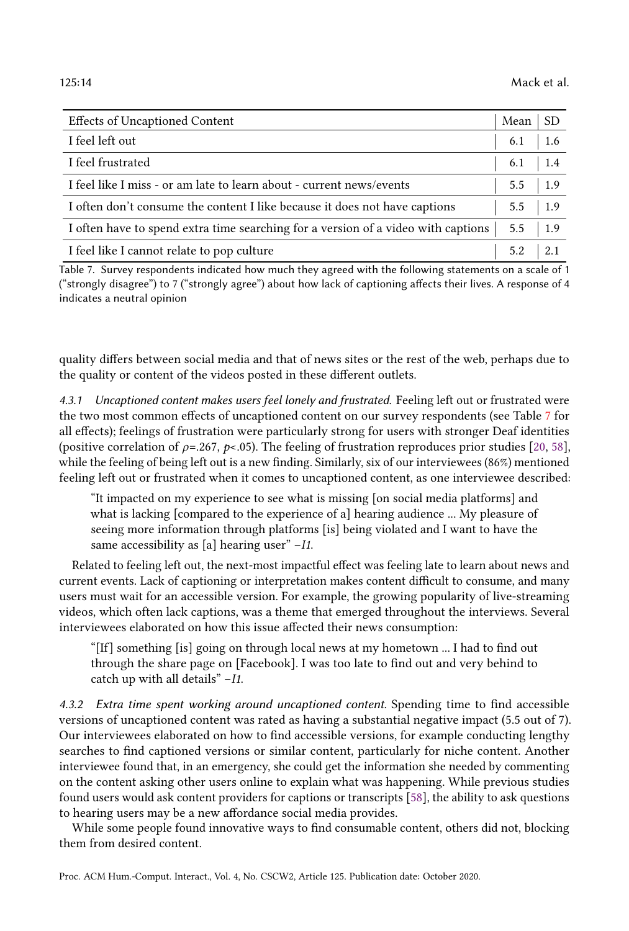<span id="page-13-0"></span>

| <b>Effects of Uncaptioned Content</b>                                             | Mean                    | SD   |
|-----------------------------------------------------------------------------------|-------------------------|------|
| I feel left out                                                                   | $6.1$   1.6             |      |
| I feel frustrated                                                                 | $6.1$   1.4             |      |
| I feel like I miss - or am late to learn about - current news/events              | $5.5$   1.9             |      |
| I often don't consume the content I like because it does not have captions        | $5.5 \quad   \quad 1.9$ |      |
| I often have to spend extra time searching for a version of a video with captions | $5.5 \quad 1.9$         |      |
| I feel like I cannot relate to pop culture                                        | 5.2                     | -2.1 |

Table 7. Survey respondents indicated how much they agreed with the following statements on a scale of 1 ("strongly disagree") to 7 ("strongly agree") about how lack of captioning affects their lives. A response of 4 indicates a neutral opinion

quality differs between social media and that of news sites or the rest of the web, perhaps due to the quality or content of the videos posted in these different outlets.

4.3.1 Uncaptioned content makes users feel lonely and frustrated. Feeling left out or frustrated were the two most common effects of uncaptioned content on our survey respondents (see Table [7](#page-13-0) for all effects); feelings of frustration were particularly strong for users with stronger Deaf identities (positive correlation of  $\rho = 267$ ,  $\rho < 0.05$ ). The feeling of frustration reproduces prior studies [\[20,](#page-28-0) [58\]](#page-30-1), while the feeling of being left out is a new finding. Similarly, six of our interviewees (86%) mentioned feeling left out or frustrated when it comes to uncaptioned content, as one interviewee described:

"It impacted on my experience to see what is missing [on social media platforms] and what is lacking [compared to the experience of a] hearing audience ... My pleasure of seeing more information through platforms [is] being violated and I want to have the same accessibility as [a] hearing user" – I1.

Related to feeling left out, the next-most impactful effect was feeling late to learn about news and current events. Lack of captioning or interpretation makes content difficult to consume, and many users must wait for an accessible version. For example, the growing popularity of live-streaming videos, which often lack captions, was a theme that emerged throughout the interviews. Several interviewees elaborated on how this issue affected their news consumption:

"[If] something [is] going on through local news at my hometown ... I had to find out through the share page on [Facebook]. I was too late to find out and very behind to catch up with all details" –I1.

4.3.2 Extra time spent working around uncaptioned content. Spending time to find accessible versions of uncaptioned content was rated as having a substantial negative impact (5.5 out of 7). Our interviewees elaborated on how to find accessible versions, for example conducting lengthy searches to find captioned versions or similar content, particularly for niche content. Another interviewee found that, in an emergency, she could get the information she needed by commenting on the content asking other users online to explain what was happening. While previous studies found users would ask content providers for captions or transcripts [\[58\]](#page-30-1), the ability to ask questions to hearing users may be a new affordance social media provides.

While some people found innovative ways to find consumable content, others did not, blocking them from desired content.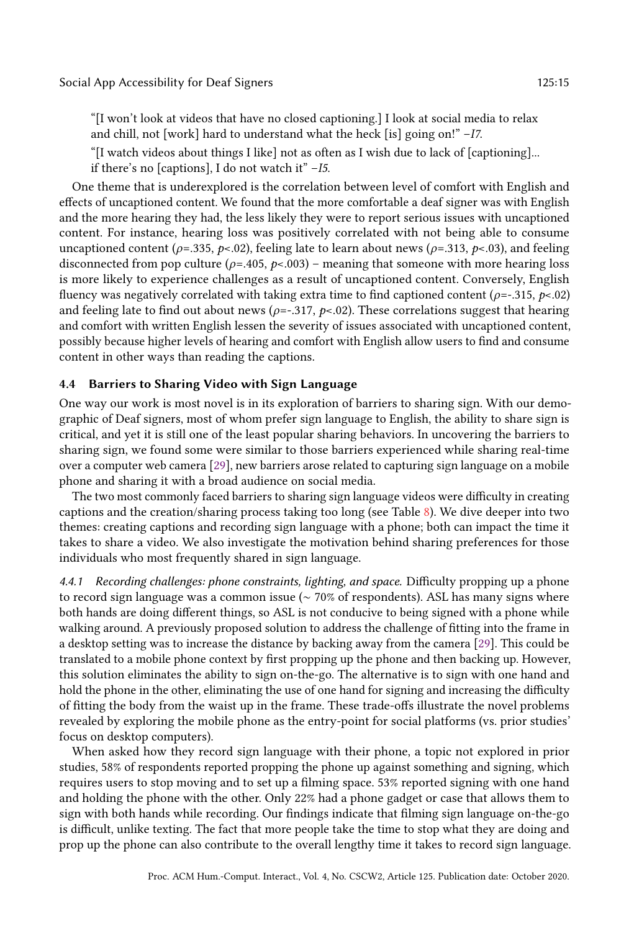"[I won't look at videos that have no closed captioning.] I look at social media to relax and chill, not [work] hard to understand what the heck [is] going on!" –I7.

"[I watch videos about things I like] not as often as I wish due to lack of [captioning]...

if there's no [captions], I do not watch it"  $-I5$ .

One theme that is underexplored is the correlation between level of comfort with English and effects of uncaptioned content. We found that the more comfortable a deaf signer was with English and the more hearing they had, the less likely they were to report serious issues with uncaptioned content. For instance, hearing loss was positively correlated with not being able to consume uncaptioned content ( $\rho$ =.335,  $p$ <.02), feeling late to learn about news ( $\rho$ =.313,  $p$ <.03), and feeling disconnected from pop culture ( $\rho$ =.405,  $p$ <.003) – meaning that someone with more hearing loss is more likely to experience challenges as a result of uncaptioned content. Conversely, English fluency was negatively correlated with taking extra time to find captioned content ( $\rho$ =-.315,  $p$ <.02) and feeling late to find out about news ( $\rho = -317$ ,  $p < 02$ ). These correlations suggest that hearing and comfort with written English lessen the severity of issues associated with uncaptioned content, possibly because higher levels of hearing and comfort with English allow users to find and consume content in other ways than reading the captions.

#### <span id="page-14-0"></span>4.4 Barriers to Sharing Video with Sign Language

One way our work is most novel is in its exploration of barriers to sharing sign. With our demographic of Deaf signers, most of whom prefer sign language to English, the ability to share sign is critical, and yet it is still one of the least popular sharing behaviors. In uncovering the barriers to sharing sign, we found some were similar to those barriers experienced while sharing real-time over a computer web camera [\[29\]](#page-28-7), new barriers arose related to capturing sign language on a mobile phone and sharing it with a broad audience on social media.

The two most commonly faced barriers to sharing sign language videos were difficulty in creating captions and the creation/sharing process taking too long (see Table  $\delta$ ). We dive deeper into two themes: creating captions and recording sign language with a phone; both can impact the time it takes to share a video. We also investigate the motivation behind sharing preferences for those individuals who most frequently shared in sign language.

4.4.1 Recording challenges: phone constraints, lighting, and space. Difficulty propping up a phone to record sign language was a common issue (∼ 70% of respondents). ASL has many signs where both hands are doing different things, so ASL is not conducive to being signed with a phone while walking around. A previously proposed solution to address the challenge of fitting into the frame in a desktop setting was to increase the distance by backing away from the camera [\[29\]](#page-28-7). This could be translated to a mobile phone context by first propping up the phone and then backing up. However, this solution eliminates the ability to sign on-the-go. The alternative is to sign with one hand and hold the phone in the other, eliminating the use of one hand for signing and increasing the difficulty of fitting the body from the waist up in the frame. These trade-offs illustrate the novel problems revealed by exploring the mobile phone as the entry-point for social platforms (vs. prior studies' focus on desktop computers).

When asked how they record sign language with their phone, a topic not explored in prior studies, 58% of respondents reported propping the phone up against something and signing, which requires users to stop moving and to set up a filming space. 53% reported signing with one hand and holding the phone with the other. Only 22% had a phone gadget or case that allows them to sign with both hands while recording. Our findings indicate that filming sign language on-the-go is difficult, unlike texting. The fact that more people take the time to stop what they are doing and prop up the phone can also contribute to the overall lengthy time it takes to record sign language.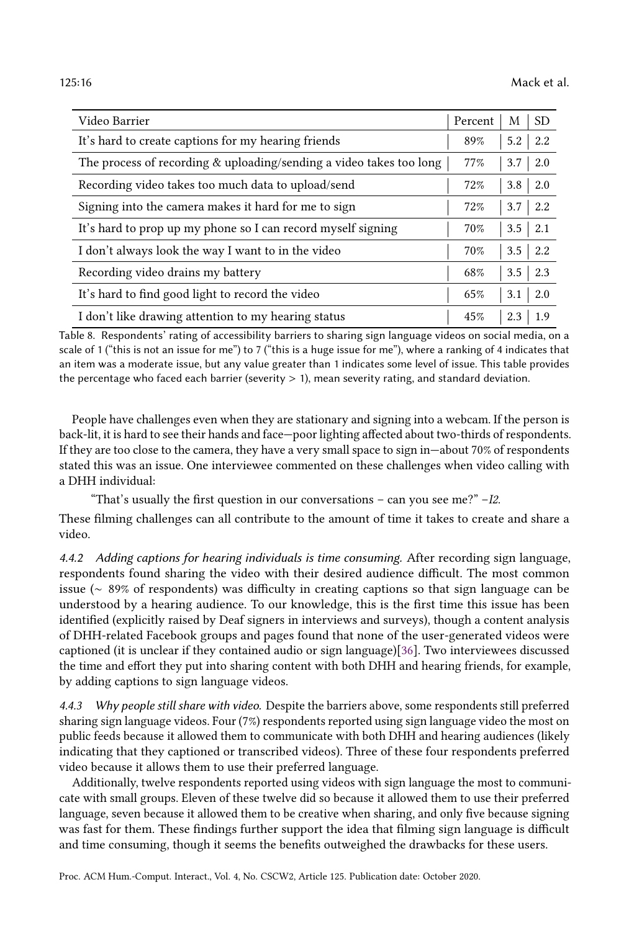<span id="page-15-0"></span>

| Video Barrier                                                       | Percent | M                | <b>SD</b>         |
|---------------------------------------------------------------------|---------|------------------|-------------------|
| It's hard to create captions for my hearing friends                 |         | 5.2              | 2.2               |
| The process of recording & uploading/sending a video takes too long | 77%     | 3.7              | 2.0               |
| Recording video takes too much data to upload/send                  | 72%     | 3.8              | 2.0               |
| Signing into the camera makes it hard for me to sign                | 72%     | 3.7              | $\vert 2.2 \vert$ |
| It's hard to prop up my phone so I can record myself signing        | 70%     | $3.5\phantom{0}$ | 2.1               |
| I don't always look the way I want to in the video                  |         |                  | $3.5 \pm 2.2$     |
| Recording video drains my battery                                   |         | 3.5              | 2.3               |
| It's hard to find good light to record the video                    | 65%     | 3.1              | 2.0               |
| I don't like drawing attention to my hearing status                 | 45%     | 2.3              | 1.9               |

Table 8. Respondents' rating of accessibility barriers to sharing sign language videos on social media, on a scale of 1 ("this is not an issue for me") to 7 ("this is a huge issue for me"), where a ranking of 4 indicates that an item was a moderate issue, but any value greater than 1 indicates some level of issue. This table provides the percentage who faced each barrier (severity  $> 1$ ), mean severity rating, and standard deviation.

People have challenges even when they are stationary and signing into a webcam. If the person is back-lit, it is hard to see their hands and face—poor lighting affected about two-thirds of respondents. If they are too close to the camera, they have a very small space to sign in—about 70% of respondents stated this was an issue. One interviewee commented on these challenges when video calling with a DHH individual:

"That's usually the first question in our conversations – can you see me?"  $-I2$ .

These filming challenges can all contribute to the amount of time it takes to create and share a video.

4.4.2 Adding captions for hearing individuals is time consuming. After recording sign language, respondents found sharing the video with their desired audience difficult. The most common issue (∼ 89% of respondents) was difficulty in creating captions so that sign language can be understood by a hearing audience. To our knowledge, this is the first time this issue has been identified (explicitly raised by Deaf signers in interviews and surveys), though a content analysis of DHH-related Facebook groups and pages found that none of the user-generated videos were captioned (it is unclear if they contained audio or sign language)[\[36\]](#page-29-6). Two interviewees discussed the time and effort they put into sharing content with both DHH and hearing friends, for example, by adding captions to sign language videos.

4.4.3 Why people still share with video. Despite the barriers above, some respondents still preferred sharing sign language videos. Four (7%) respondents reported using sign language video the most on public feeds because it allowed them to communicate with both DHH and hearing audiences (likely indicating that they captioned or transcribed videos). Three of these four respondents preferred video because it allows them to use their preferred language.

Additionally, twelve respondents reported using videos with sign language the most to communicate with small groups. Eleven of these twelve did so because it allowed them to use their preferred language, seven because it allowed them to be creative when sharing, and only five because signing was fast for them. These findings further support the idea that filming sign language is difficult and time consuming, though it seems the benefits outweighed the drawbacks for these users.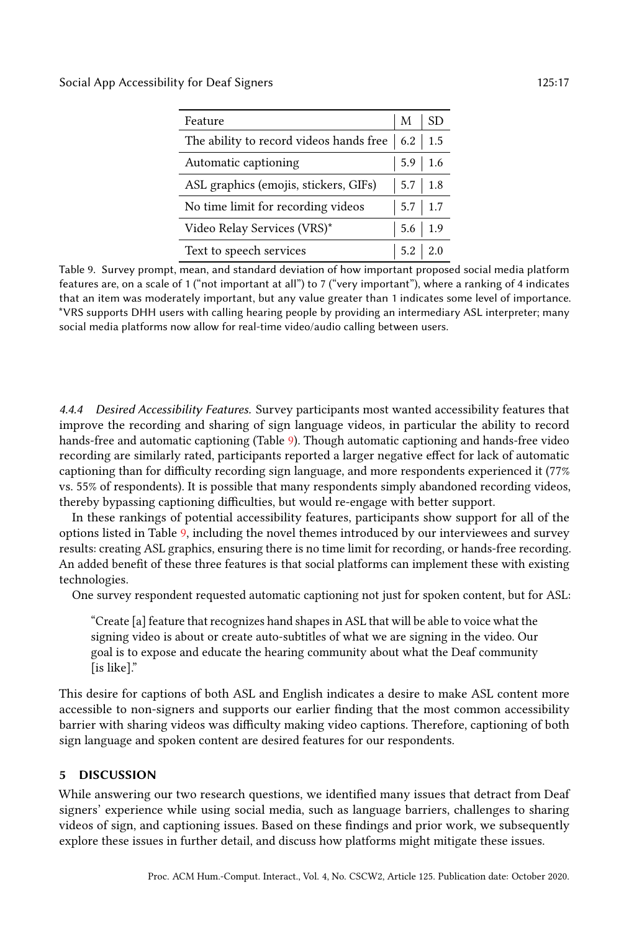<span id="page-16-0"></span>Social App Accessibility for Deaf Signers 125:17

| Feature                                                     |             | <b>SD</b>   |
|-------------------------------------------------------------|-------------|-------------|
| The ability to record videos hands free $\vert$ 6.2 $\vert$ |             | 1.5         |
| Automatic captioning                                        | $5.9$ 1.6   |             |
| ASL graphics (emojis, stickers, GIFs)                       | $5.7$ 1.8   |             |
| No time limit for recording videos                          |             | $5.7$ 1.7   |
| Video Relay Services (VRS)*                                 |             | $5.6$   1.9 |
| Text to speech services                                     | $5.2$   2.0 |             |

Table 9. Survey prompt, mean, and standard deviation of how important proposed social media platform features are, on a scale of 1 ("not important at all") to 7 ("very important"), where a ranking of 4 indicates that an item was moderately important, but any value greater than 1 indicates some level of importance. \*VRS supports DHH users with calling hearing people by providing an intermediary ASL interpreter; many social media platforms now allow for real-time video/audio calling between users.

4.4.4 Desired Accessibility Features. Survey participants most wanted accessibility features that improve the recording and sharing of sign language videos, in particular the ability to record hands-free and automatic captioning (Table [9\)](#page-16-0). Though automatic captioning and hands-free video recording are similarly rated, participants reported a larger negative effect for lack of automatic captioning than for difficulty recording sign language, and more respondents experienced it (77% vs. 55% of respondents). It is possible that many respondents simply abandoned recording videos, thereby bypassing captioning difficulties, but would re-engage with better support.

In these rankings of potential accessibility features, participants show support for all of the options listed in Table [9,](#page-16-0) including the novel themes introduced by our interviewees and survey results: creating ASL graphics, ensuring there is no time limit for recording, or hands-free recording. An added benefit of these three features is that social platforms can implement these with existing technologies.

One survey respondent requested automatic captioning not just for spoken content, but for ASL:

"Create [a] feature that recognizes hand shapes in ASL that will be able to voice what the signing video is about or create auto-subtitles of what we are signing in the video. Our goal is to expose and educate the hearing community about what the Deaf community [is like]."

This desire for captions of both ASL and English indicates a desire to make ASL content more accessible to non-signers and supports our earlier finding that the most common accessibility barrier with sharing videos was difficulty making video captions. Therefore, captioning of both sign language and spoken content are desired features for our respondents.

### 5 DISCUSSION

While answering our two research questions, we identified many issues that detract from Deaf signers' experience while using social media, such as language barriers, challenges to sharing videos of sign, and captioning issues. Based on these findings and prior work, we subsequently explore these issues in further detail, and discuss how platforms might mitigate these issues.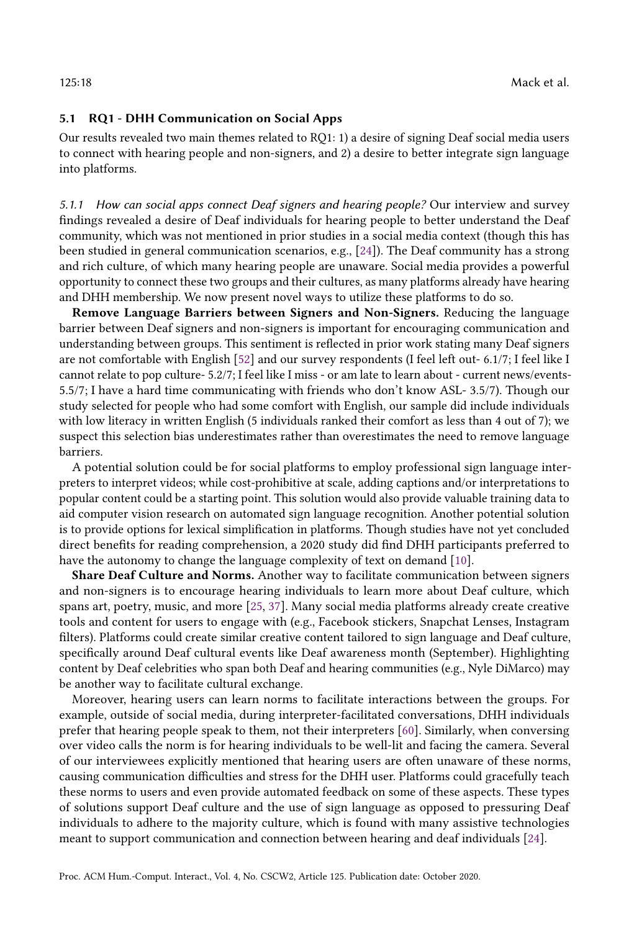#### 5.1 RQ1 - DHH Communication on Social Apps

Our results revealed two main themes related to RQ1: 1) a desire of signing Deaf social media users to connect with hearing people and non-signers, and 2) a desire to better integrate sign language into platforms.

5.1.1 How can social apps connect Deaf signers and hearing people? Our interview and survey findings revealed a desire of Deaf individuals for hearing people to better understand the Deaf community, which was not mentioned in prior studies in a social media context (though this has been studied in general communication scenarios, e.g., [\[24\]](#page-28-6)). The Deaf community has a strong and rich culture, of which many hearing people are unaware. Social media provides a powerful opportunity to connect these two groups and their cultures, as many platforms already have hearing and DHH membership. We now present novel ways to utilize these platforms to do so.

Remove Language Barriers between Signers and Non-Signers. Reducing the language barrier between Deaf signers and non-signers is important for encouraging communication and understanding between groups. This sentiment is reflected in prior work stating many Deaf signers are not comfortable with English [\[52\]](#page-29-2) and our survey respondents (I feel left out- 6.1/7; I feel like I cannot relate to pop culture- 5.2/7; I feel like I miss - or am late to learn about - current news/events-5.5/7; I have a hard time communicating with friends who don't know ASL- 3.5/7). Though our study selected for people who had some comfort with English, our sample did include individuals with low literacy in written English (5 individuals ranked their comfort as less than 4 out of 7); we suspect this selection bias underestimates rather than overestimates the need to remove language barriers.

A potential solution could be for social platforms to employ professional sign language interpreters to interpret videos; while cost-prohibitive at scale, adding captions and/or interpretations to popular content could be a starting point. This solution would also provide valuable training data to aid computer vision research on automated sign language recognition. Another potential solution is to provide options for lexical simplification in platforms. Though studies have not yet concluded direct benefits for reading comprehension, a 2020 study did find DHH participants preferred to have the autonomy to change the language complexity of text on demand [\[10\]](#page-28-15).

Share Deaf Culture and Norms. Another way to facilitate communication between signers and non-signers is to encourage hearing individuals to learn more about Deaf culture, which spans art, poetry, music, and more [\[25,](#page-28-16) [37\]](#page-29-20). Many social media platforms already create creative tools and content for users to engage with (e.g., Facebook stickers, Snapchat Lenses, Instagram filters). Platforms could create similar creative content tailored to sign language and Deaf culture, specifically around Deaf cultural events like Deaf awareness month (September). Highlighting content by Deaf celebrities who span both Deaf and hearing communities (e.g., Nyle DiMarco) may be another way to facilitate cultural exchange.

Moreover, hearing users can learn norms to facilitate interactions between the groups. For example, outside of social media, during interpreter-facilitated conversations, DHH individuals prefer that hearing people speak to them, not their interpreters [\[60\]](#page-30-6). Similarly, when conversing over video calls the norm is for hearing individuals to be well-lit and facing the camera. Several of our interviewees explicitly mentioned that hearing users are often unaware of these norms, causing communication difficulties and stress for the DHH user. Platforms could gracefully teach these norms to users and even provide automated feedback on some of these aspects. These types of solutions support Deaf culture and the use of sign language as opposed to pressuring Deaf individuals to adhere to the majority culture, which is found with many assistive technologies meant to support communication and connection between hearing and deaf individuals [\[24\]](#page-28-6).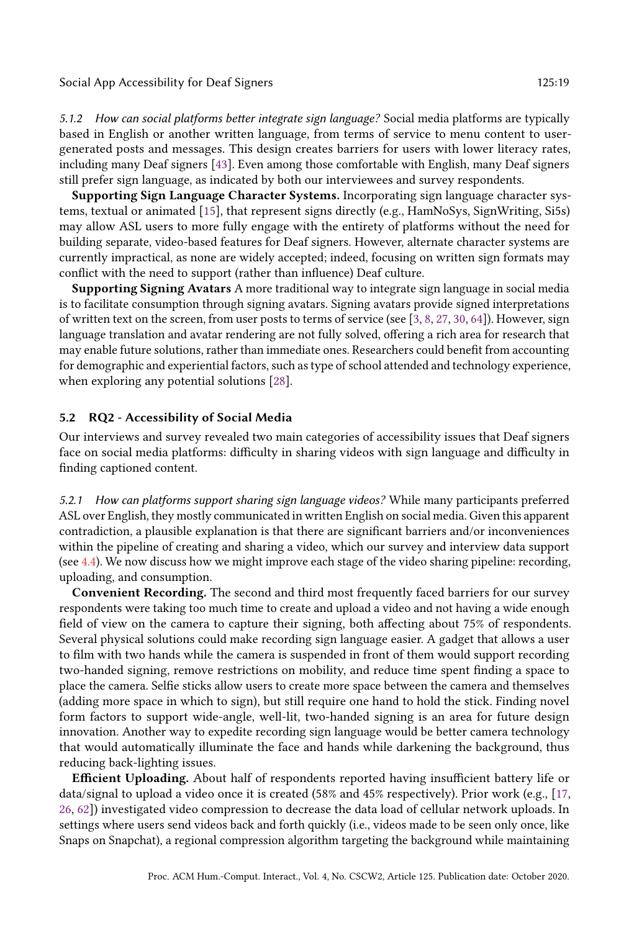Social App Accessibility for Deaf Signers 125:19 125:19

5.1.2 How can social platforms better integrate sign language? Social media platforms are typically based in English or another written language, from terms of service to menu content to usergenerated posts and messages. This design creates barriers for users with lower literacy rates, including many Deaf signers [\[43\]](#page-29-1). Even among those comfortable with English, many Deaf signers still prefer sign language, as indicated by both our interviewees and survey respondents.

Supporting Sign Language Character Systems. Incorporating sign language character systems, textual or animated [\[15\]](#page-28-17), that represent signs directly (e.g., HamNoSys, SignWriting, Si5s) may allow ASL users to more fully engage with the entirety of platforms without the need for building separate, video-based features for Deaf signers. However, alternate character systems are currently impractical, as none are widely accepted; indeed, focusing on written sign formats may conflict with the need to support (rather than influence) Deaf culture.

Supporting Signing Avatars A more traditional way to integrate sign language in social media is to facilitate consumption through signing avatars. Signing avatars provide signed interpretations of written text on the screen, from user posts to terms of service (see [\[3,](#page-27-2) [8,](#page-27-3) [27,](#page-28-18) [30,](#page-28-19) [64\]](#page-30-7)). However, sign language translation and avatar rendering are not fully solved, offering a rich area for research that may enable future solutions, rather than immediate ones. Researchers could benefit from accounting for demographic and experiential factors, such as type of school attended and technology experience, when exploring any potential solutions [\[28\]](#page-28-20).

#### 5.2 RQ2 - Accessibility of Social Media

Our interviews and survey revealed two main categories of accessibility issues that Deaf signers face on social media platforms: difficulty in sharing videos with sign language and difficulty in finding captioned content.

5.2.1 How can platforms support sharing sign language videos? While many participants preferred ASL over English, they mostly communicated in written English on social media. Given this apparent contradiction, a plausible explanation is that there are significant barriers and/or inconveniences within the pipeline of creating and sharing a video, which our survey and interview data support (see [4.4\)](#page-14-0). We now discuss how we might improve each stage of the video sharing pipeline: recording, uploading, and consumption.

Convenient Recording. The second and third most frequently faced barriers for our survey respondents were taking too much time to create and upload a video and not having a wide enough field of view on the camera to capture their signing, both affecting about 75% of respondents. Several physical solutions could make recording sign language easier. A gadget that allows a user to film with two hands while the camera is suspended in front of them would support recording two-handed signing, remove restrictions on mobility, and reduce time spent finding a space to place the camera. Selfie sticks allow users to create more space between the camera and themselves (adding more space in which to sign), but still require one hand to hold the stick. Finding novel form factors to support wide-angle, well-lit, two-handed signing is an area for future design innovation. Another way to expedite recording sign language would be better camera technology that would automatically illuminate the face and hands while darkening the background, thus reducing back-lighting issues.

Efficient Uploading. About half of respondents reported having insufficient battery life or data/signal to upload a video once it is created (58% and 45% respectively). Prior work (e.g., [\[17,](#page-28-8) [26,](#page-28-9) [62\]](#page-30-4)) investigated video compression to decrease the data load of cellular network uploads. In settings where users send videos back and forth quickly (i.e., videos made to be seen only once, like Snaps on Snapchat), a regional compression algorithm targeting the background while maintaining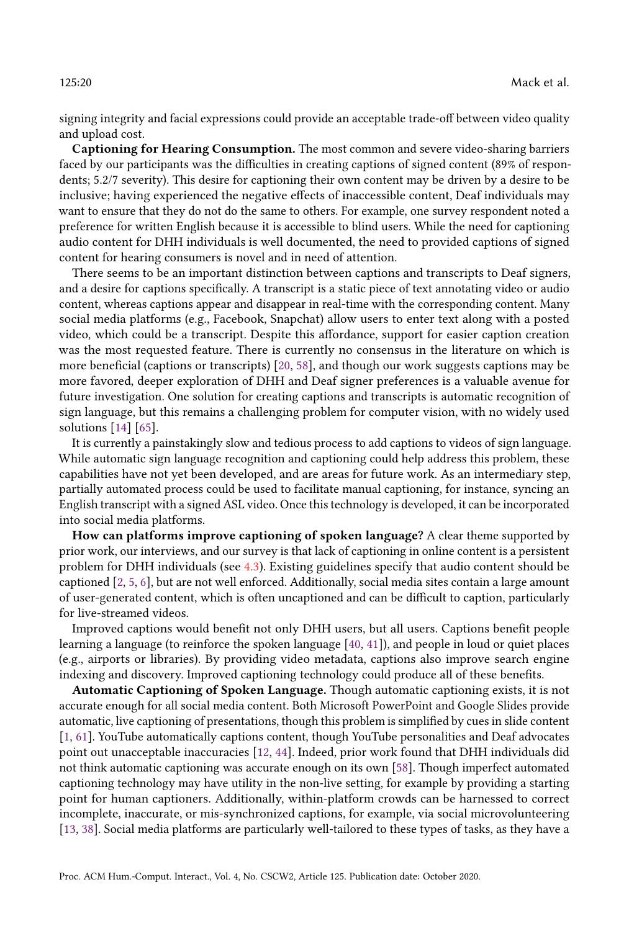signing integrity and facial expressions could provide an acceptable trade-off between video quality and upload cost.

Captioning for Hearing Consumption. The most common and severe video-sharing barriers faced by our participants was the difficulties in creating captions of signed content (89% of respondents; 5.2/7 severity). This desire for captioning their own content may be driven by a desire to be inclusive; having experienced the negative effects of inaccessible content, Deaf individuals may want to ensure that they do not do the same to others. For example, one survey respondent noted a preference for written English because it is accessible to blind users. While the need for captioning audio content for DHH individuals is well documented, the need to provided captions of signed content for hearing consumers is novel and in need of attention.

There seems to be an important distinction between captions and transcripts to Deaf signers, and a desire for captions specifically. A transcript is a static piece of text annotating video or audio content, whereas captions appear and disappear in real-time with the corresponding content. Many social media platforms (e.g., Facebook, Snapchat) allow users to enter text along with a posted video, which could be a transcript. Despite this affordance, support for easier caption creation was the most requested feature. There is currently no consensus in the literature on which is more beneficial (captions or transcripts) [\[20,](#page-28-0) [58\]](#page-30-1), and though our work suggests captions may be more favored, deeper exploration of DHH and Deaf signer preferences is a valuable avenue for future investigation. One solution for creating captions and transcripts is automatic recognition of sign language, but this remains a challenging problem for computer vision, with no widely used solutions [\[14\]](#page-28-5) [\[65\]](#page-30-8).

It is currently a painstakingly slow and tedious process to add captions to videos of sign language. While automatic sign language recognition and captioning could help address this problem, these capabilities have not yet been developed, and are areas for future work. As an intermediary step, partially automated process could be used to facilitate manual captioning, for instance, syncing an English transcript with a signed ASL video. Once this technology is developed, it can be incorporated into social media platforms.

How can platforms improve captioning of spoken language? A clear theme supported by prior work, our interviews, and our survey is that lack of captioning in online content is a persistent problem for DHH individuals (see [4.3\)](#page-12-2). Existing guidelines specify that audio content should be captioned [\[2,](#page-27-4) [5,](#page-27-5) [6\]](#page-27-6), but are not well enforced. Additionally, social media sites contain a large amount of user-generated content, which is often uncaptioned and can be difficult to caption, particularly for live-streamed videos.

Improved captions would benefit not only DHH users, but all users. Captions benefit people learning a language (to reinforce the spoken language [\[40,](#page-29-21) [41\]](#page-29-22)), and people in loud or quiet places (e.g., airports or libraries). By providing video metadata, captions also improve search engine indexing and discovery. Improved captioning technology could produce all of these benefits.

Automatic Captioning of Spoken Language. Though automatic captioning exists, it is not accurate enough for all social media content. Both Microsoft PowerPoint and Google Slides provide automatic, live captioning of presentations, though this problem is simplified by cues in slide content [\[1,](#page-27-7) [61\]](#page-30-9). YouTube automatically captions content, though YouTube personalities and Deaf advocates point out unacceptable inaccuracies [\[12,](#page-28-21) [44\]](#page-29-23). Indeed, prior work found that DHH individuals did not think automatic captioning was accurate enough on its own [\[58\]](#page-30-1). Though imperfect automated captioning technology may have utility in the non-live setting, for example by providing a starting point for human captioners. Additionally, within-platform crowds can be harnessed to correct incomplete, inaccurate, or mis-synchronized captions, for example, via social microvolunteering [\[13,](#page-28-22) [38\]](#page-29-24). Social media platforms are particularly well-tailored to these types of tasks, as they have a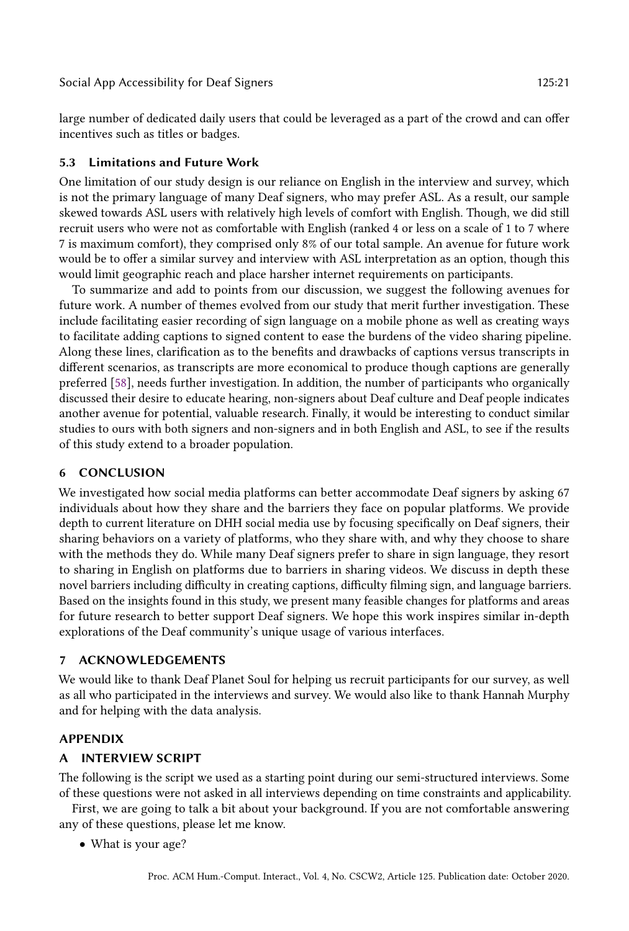large number of dedicated daily users that could be leveraged as a part of the crowd and can offer incentives such as titles or badges.

#### <span id="page-20-0"></span>5.3 Limitations and Future Work

One limitation of our study design is our reliance on English in the interview and survey, which is not the primary language of many Deaf signers, who may prefer ASL. As a result, our sample skewed towards ASL users with relatively high levels of comfort with English. Though, we did still recruit users who were not as comfortable with English (ranked 4 or less on a scale of 1 to 7 where 7 is maximum comfort), they comprised only 8% of our total sample. An avenue for future work would be to offer a similar survey and interview with ASL interpretation as an option, though this would limit geographic reach and place harsher internet requirements on participants.

To summarize and add to points from our discussion, we suggest the following avenues for future work. A number of themes evolved from our study that merit further investigation. These include facilitating easier recording of sign language on a mobile phone as well as creating ways to facilitate adding captions to signed content to ease the burdens of the video sharing pipeline. Along these lines, clarification as to the benefits and drawbacks of captions versus transcripts in different scenarios, as transcripts are more economical to produce though captions are generally preferred [\[58\]](#page-30-1), needs further investigation. In addition, the number of participants who organically discussed their desire to educate hearing, non-signers about Deaf culture and Deaf people indicates another avenue for potential, valuable research. Finally, it would be interesting to conduct similar studies to ours with both signers and non-signers and in both English and ASL, to see if the results of this study extend to a broader population.

#### 6 CONCLUSION

We investigated how social media platforms can better accommodate Deaf signers by asking 67 individuals about how they share and the barriers they face on popular platforms. We provide depth to current literature on DHH social media use by focusing specifically on Deaf signers, their sharing behaviors on a variety of platforms, who they share with, and why they choose to share with the methods they do. While many Deaf signers prefer to share in sign language, they resort to sharing in English on platforms due to barriers in sharing videos. We discuss in depth these novel barriers including difficulty in creating captions, difficulty filming sign, and language barriers. Based on the insights found in this study, we present many feasible changes for platforms and areas for future research to better support Deaf signers. We hope this work inspires similar in-depth explorations of the Deaf community's unique usage of various interfaces.

#### 7 ACKNOWLEDGEMENTS

We would like to thank Deaf Planet Soul for helping us recruit participants for our survey, as well as all who participated in the interviews and survey. We would also like to thank Hannah Murphy and for helping with the data analysis.

#### APPENDIX

#### A INTERVIEW SCRIPT

The following is the script we used as a starting point during our semi-structured interviews. Some of these questions were not asked in all interviews depending on time constraints and applicability.

First, we are going to talk a bit about your background. If you are not comfortable answering any of these questions, please let me know.

• What is your age?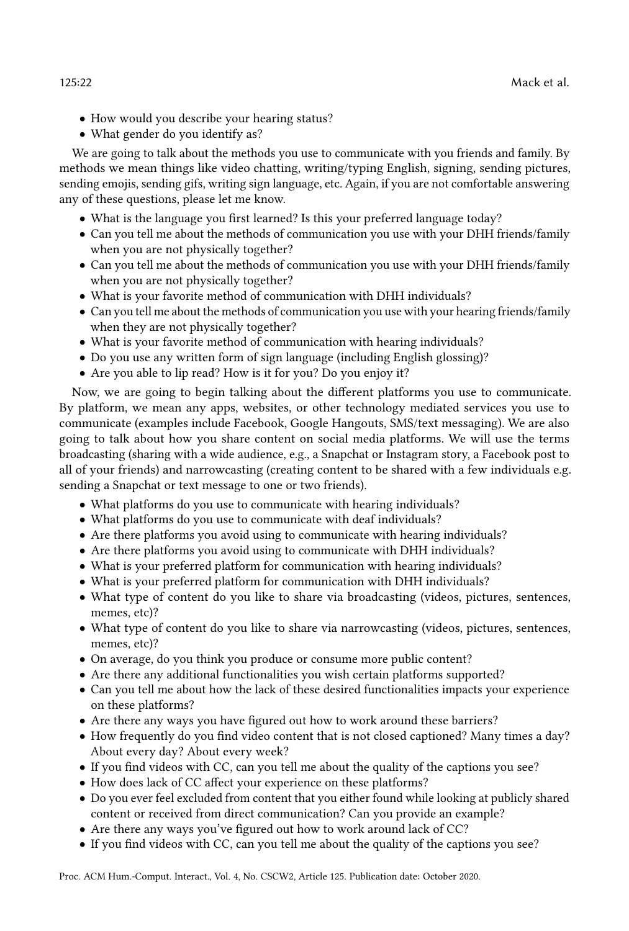- How would you describe your hearing status?
- What gender do you identify as?

We are going to talk about the methods you use to communicate with you friends and family. By methods we mean things like video chatting, writing/typing English, signing, sending pictures, sending emojis, sending gifs, writing sign language, etc. Again, if you are not comfortable answering any of these questions, please let me know.

- What is the language you first learned? Is this your preferred language today?
- Can you tell me about the methods of communication you use with your DHH friends/family when you are not physically together?
- Can you tell me about the methods of communication you use with your DHH friends/family when you are not physically together?
- What is your favorite method of communication with DHH individuals?
- Can you tell me about the methods of communication you use with your hearing friends/family when they are not physically together?
- What is your favorite method of communication with hearing individuals?
- Do you use any written form of sign language (including English glossing)?
- Are you able to lip read? How is it for you? Do you enjoy it?

Now, we are going to begin talking about the different platforms you use to communicate. By platform, we mean any apps, websites, or other technology mediated services you use to communicate (examples include Facebook, Google Hangouts, SMS/text messaging). We are also going to talk about how you share content on social media platforms. We will use the terms broadcasting (sharing with a wide audience, e.g., a Snapchat or Instagram story, a Facebook post to all of your friends) and narrowcasting (creating content to be shared with a few individuals e.g. sending a Snapchat or text message to one or two friends).

- What platforms do you use to communicate with hearing individuals?
- What platforms do you use to communicate with deaf individuals?
- Are there platforms you avoid using to communicate with hearing individuals?
- Are there platforms you avoid using to communicate with DHH individuals?
- What is your preferred platform for communication with hearing individuals?
- What is your preferred platform for communication with DHH individuals?
- What type of content do you like to share via broadcasting (videos, pictures, sentences, memes, etc)?
- What type of content do you like to share via narrowcasting (videos, pictures, sentences, memes, etc)?
- On average, do you think you produce or consume more public content?
- Are there any additional functionalities you wish certain platforms supported?
- Can you tell me about how the lack of these desired functionalities impacts your experience on these platforms?
- Are there any ways you have figured out how to work around these barriers?
- How frequently do you find video content that is not closed captioned? Many times a day? About every day? About every week?
- If you find videos with CC, can you tell me about the quality of the captions you see?
- How does lack of CC affect your experience on these platforms?
- Do you ever feel excluded from content that you either found while looking at publicly shared content or received from direct communication? Can you provide an example?
- Are there any ways you've figured out how to work around lack of CC?
- If you find videos with CC, can you tell me about the quality of the captions you see?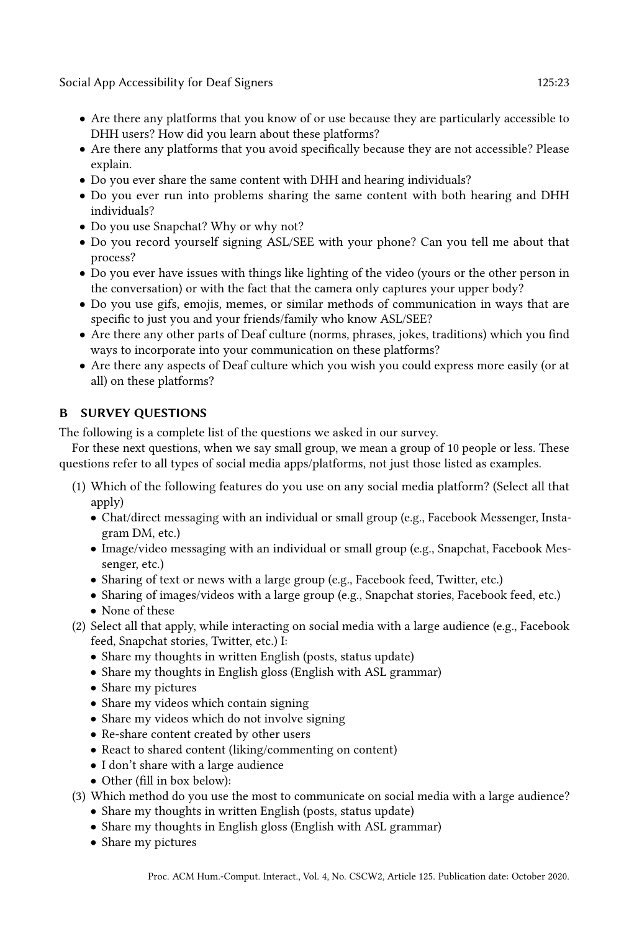Social App Accessibility for Deaf Signers 125:23 125:23

- Are there any platforms that you know of or use because they are particularly accessible to DHH users? How did you learn about these platforms?
- Are there any platforms that you avoid specifically because they are not accessible? Please explain.
- Do you ever share the same content with DHH and hearing individuals?
- Do you ever run into problems sharing the same content with both hearing and DHH individuals?
- Do you use Snapchat? Why or why not?
- Do you record yourself signing ASL/SEE with your phone? Can you tell me about that process?
- Do you ever have issues with things like lighting of the video (yours or the other person in the conversation) or with the fact that the camera only captures your upper body?
- Do you use gifs, emojis, memes, or similar methods of communication in ways that are specific to just you and your friends/family who know ASL/SEE?
- Are there any other parts of Deaf culture (norms, phrases, jokes, traditions) which you find ways to incorporate into your communication on these platforms?
- Are there any aspects of Deaf culture which you wish you could express more easily (or at all) on these platforms?

## B SURVEY QUESTIONS

The following is a complete list of the questions we asked in our survey.

For these next questions, when we say small group, we mean a group of 10 people or less. These questions refer to all types of social media apps/platforms, not just those listed as examples.

- (1) Which of the following features do you use on any social media platform? (Select all that apply)
	- Chat/direct messaging with an individual or small group (e.g., Facebook Messenger, Instagram DM, etc.)
	- Image/video messaging with an individual or small group (e.g., Snapchat, Facebook Messenger, etc.)
	- Sharing of text or news with a large group (e.g., Facebook feed, Twitter, etc.)
	- Sharing of images/videos with a large group (e.g., Snapchat stories, Facebook feed, etc.)
	- None of these
- (2) Select all that apply, while interacting on social media with a large audience (e.g., Facebook feed, Snapchat stories, Twitter, etc.) I:
	- Share my thoughts in written English (posts, status update)
	- Share my thoughts in English gloss (English with ASL grammar)
	- Share my pictures
	- Share my videos which contain signing
	- Share my videos which do not involve signing
	- Re-share content created by other users
	- React to shared content (liking/commenting on content)
	- I don't share with a large audience
	- Other (fill in box below):
- (3) Which method do you use the most to communicate on social media with a large audience?
	- Share my thoughts in written English (posts, status update)
	- Share my thoughts in English gloss (English with ASL grammar)
	- Share my pictures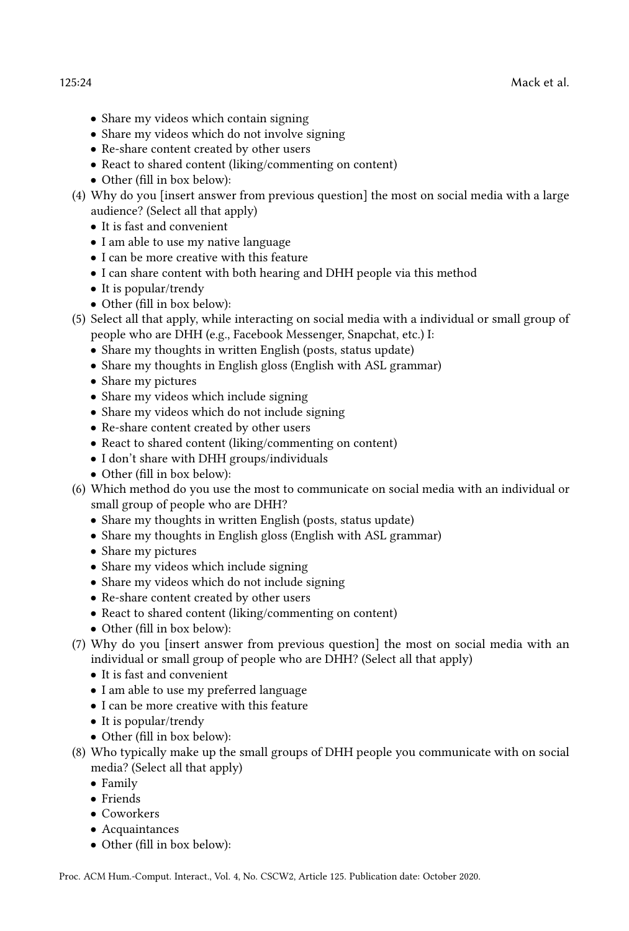- - Share my videos which contain signing
	- Share my videos which do not involve signing
	- Re-share content created by other users
	- React to shared content (liking/commenting on content)
	- Other (fill in box below):
	- (4) Why do you [insert answer from previous question] the most on social media with a large audience? (Select all that apply)
		- It is fast and convenient
		- I am able to use my native language
		- I can be more creative with this feature
		- I can share content with both hearing and DHH people via this method
		- It is popular/trendy
		- Other (fill in box below):
	- (5) Select all that apply, while interacting on social media with a individual or small group of people who are DHH (e.g., Facebook Messenger, Snapchat, etc.) I:
		- Share my thoughts in written English (posts, status update)
		- Share my thoughts in English gloss (English with ASL grammar)
		- Share my pictures
		- Share my videos which include signing
		- Share my videos which do not include signing
		- Re-share content created by other users
		- React to shared content (liking/commenting on content)
		- I don't share with DHH groups/individuals
		- Other (fill in box below):
	- (6) Which method do you use the most to communicate on social media with an individual or small group of people who are DHH?
		- Share my thoughts in written English (posts, status update)
		- Share my thoughts in English gloss (English with ASL grammar)
		- Share my pictures
		- Share my videos which include signing
		- Share my videos which do not include signing
		- Re-share content created by other users
		- React to shared content (liking/commenting on content)
		- Other (fill in box below):
	- (7) Why do you [insert answer from previous question] the most on social media with an individual or small group of people who are DHH? (Select all that apply)
		- It is fast and convenient
		- I am able to use my preferred language
		- I can be more creative with this feature
		- It is popular/trendy
		- Other (fill in box below):
	- (8) Who typically make up the small groups of DHH people you communicate with on social media? (Select all that apply)
		- Family
		- Friends
		- Coworkers
		- Acquaintances
		- Other (fill in box below):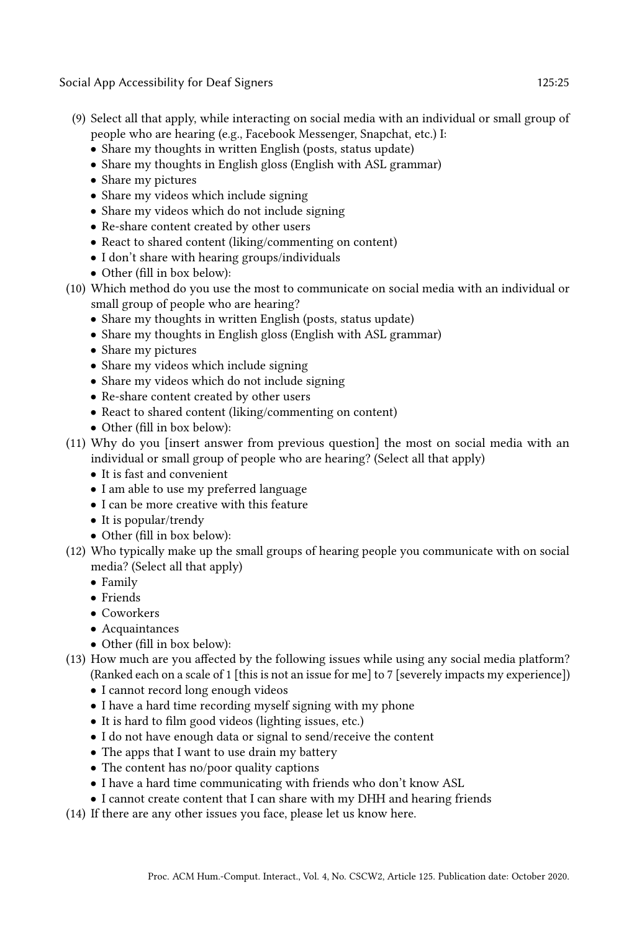Social App Accessibility for Deaf Signers 125:25 and 125:25 and 125:25 and 125:25 and 125:25 and 125:25 and 125:25 and 125:25 and 125:25 and 125:25 and 125:25 and 125:25 and 125:25 and 125:25 and 125:25 and 125:25 and 125:

- (9) Select all that apply, while interacting on social media with an individual or small group of people who are hearing (e.g., Facebook Messenger, Snapchat, etc.) I:
	- Share my thoughts in written English (posts, status update)
	- Share my thoughts in English gloss (English with ASL grammar)
	- Share my pictures
	- Share my videos which include signing
	- Share my videos which do not include signing
	- Re-share content created by other users
	- React to shared content (liking/commenting on content)
	- I don't share with hearing groups/individuals
	- Other (fill in box below):
- (10) Which method do you use the most to communicate on social media with an individual or small group of people who are hearing?
	- Share my thoughts in written English (posts, status update)
	- Share my thoughts in English gloss (English with ASL grammar)
	- Share my pictures
	- Share my videos which include signing
	- Share my videos which do not include signing
	- Re-share content created by other users
	- React to shared content (liking/commenting on content)
	- Other (fill in box below):
- (11) Why do you [insert answer from previous question] the most on social media with an individual or small group of people who are hearing? (Select all that apply)
	- It is fast and convenient
	- I am able to use my preferred language
	- I can be more creative with this feature
	- It is popular/trendy
	- Other (fill in box below):
- (12) Who typically make up the small groups of hearing people you communicate with on social media? (Select all that apply)
	- Family
	- Friends
	- Coworkers
	- Acquaintances
	- Other (fill in box below):
- (13) How much are you affected by the following issues while using any social media platform? (Ranked each on a scale of 1 [this is not an issue for me] to 7 [severely impacts my experience])
	- I cannot record long enough videos
	- I have a hard time recording myself signing with my phone
	- It is hard to film good videos (lighting issues, etc.)
	- I do not have enough data or signal to send/receive the content
	- The apps that I want to use drain my battery
	- The content has no/poor quality captions
	- I have a hard time communicating with friends who don't know ASL
	- I cannot create content that I can share with my DHH and hearing friends
- (14) If there are any other issues you face, please let us know here.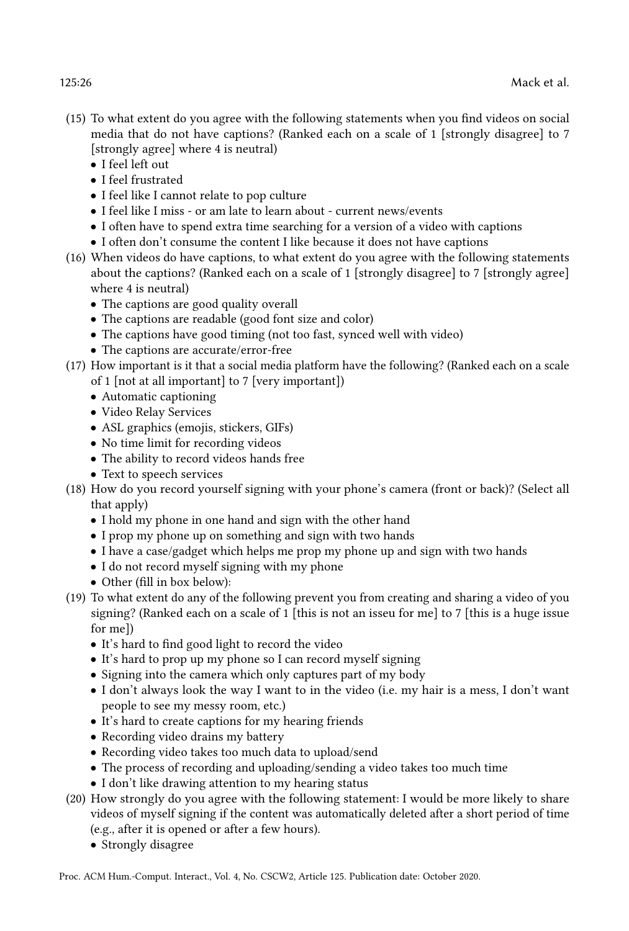- (15) To what extent do you agree with the following statements when you find videos on social media that do not have captions? (Ranked each on a scale of 1 [strongly disagree] to 7 [strongly agree] where 4 is neutral)
	- I feel left out
	- I feel frustrated
	- I feel like I cannot relate to pop culture
	- I feel like I miss or am late to learn about current news/events
	- I often have to spend extra time searching for a version of a video with captions
	- I often don't consume the content I like because it does not have captions
- (16) When videos do have captions, to what extent do you agree with the following statements about the captions? (Ranked each on a scale of 1 [strongly disagree] to 7 [strongly agree] where 4 is neutral)
	- The captions are good quality overall
	- The captions are readable (good font size and color)
	- The captions have good timing (not too fast, synced well with video)
	- The captions are accurate/error-free
- (17) How important is it that a social media platform have the following? (Ranked each on a scale of 1 [not at all important] to 7 [very important])
	- Automatic captioning
	- Video Relay Services
	- ASL graphics (emojis, stickers, GIFs)
	- No time limit for recording videos
	- The ability to record videos hands free
	- Text to speech services
- (18) How do you record yourself signing with your phone's camera (front or back)? (Select all that apply)
	- I hold my phone in one hand and sign with the other hand
	- I prop my phone up on something and sign with two hands
	- I have a case/gadget which helps me prop my phone up and sign with two hands
	- I do not record myself signing with my phone
	- Other (fill in box below):
- (19) To what extent do any of the following prevent you from creating and sharing a video of you signing? (Ranked each on a scale of 1 [this is not an isseu for me] to 7 [this is a huge issue for me])
	- It's hard to find good light to record the video
	- It's hard to prop up my phone so I can record myself signing
	- Signing into the camera which only captures part of my body
	- I don't always look the way I want to in the video (i.e. my hair is a mess, I don't want people to see my messy room, etc.)
	- It's hard to create captions for my hearing friends
	- Recording video drains my battery
	- Recording video takes too much data to upload/send
	- The process of recording and uploading/sending a video takes too much time
	- I don't like drawing attention to my hearing status
- (20) How strongly do you agree with the following statement: I would be more likely to share videos of myself signing if the content was automatically deleted after a short period of time (e.g., after it is opened or after a few hours).
	- Strongly disagree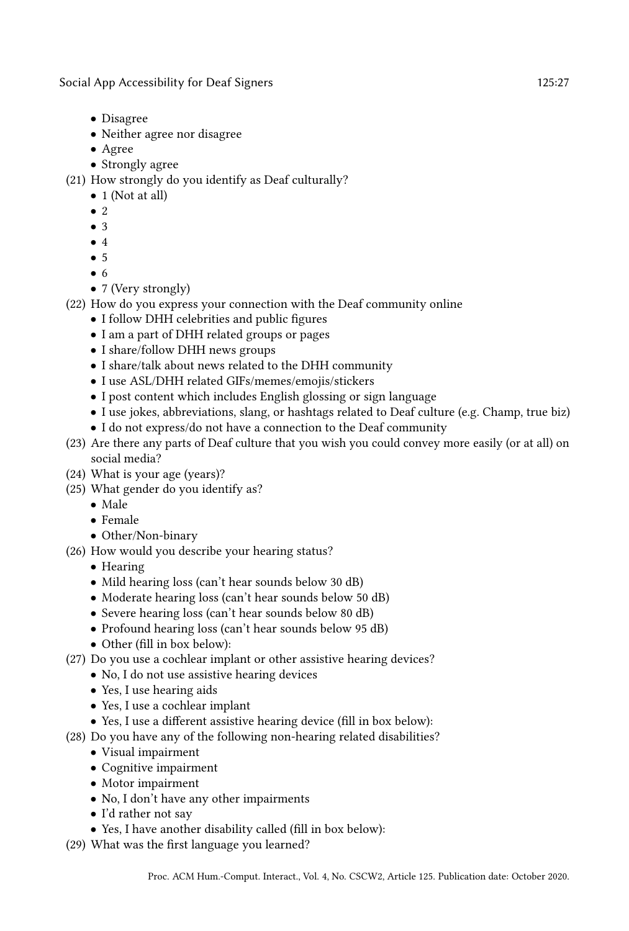Social App Accessibility for Deaf Signers 125:27 125:27

- Disagree
- Neither agree nor disagree
- Agree
- Strongly agree
- (21) How strongly do you identify as Deaf culturally?
	- 1 (Not at all)
	- 2
	- 3
	- 4
	- 5
	- 6
	- 7 (Very strongly)
- (22) How do you express your connection with the Deaf community online
	- I follow DHH celebrities and public figures
	- I am a part of DHH related groups or pages
	- I share/follow DHH news groups
	- I share/talk about news related to the DHH community
	- I use ASL/DHH related GIFs/memes/emojis/stickers
	- I post content which includes English glossing or sign language
	- I use jokes, abbreviations, slang, or hashtags related to Deaf culture (e.g. Champ, true biz)
	- I do not express/do not have a connection to the Deaf community
- (23) Are there any parts of Deaf culture that you wish you could convey more easily (or at all) on social media?
- (24) What is your age (years)?
- (25) What gender do you identify as?
	- Male
	- Female
	- Other/Non-binary
- (26) How would you describe your hearing status?
	- Hearing
	- Mild hearing loss (can't hear sounds below 30 dB)
	- Moderate hearing loss (can't hear sounds below 50 dB)
	- Severe hearing loss (can't hear sounds below 80 dB)
	- Profound hearing loss (can't hear sounds below 95 dB)
	- Other (fill in box below):
- (27) Do you use a cochlear implant or other assistive hearing devices?
	- No, I do not use assistive hearing devices
	- Yes, I use hearing aids
	- Yes, I use a cochlear implant
	- Yes, I use a different assistive hearing device (fill in box below):
- (28) Do you have any of the following non-hearing related disabilities?
	- Visual impairment
	- Cognitive impairment
	- Motor impairment
	- No, I don't have any other impairments
	- I'd rather not say
	- Yes, I have another disability called (fill in box below):
- (29) What was the first language you learned?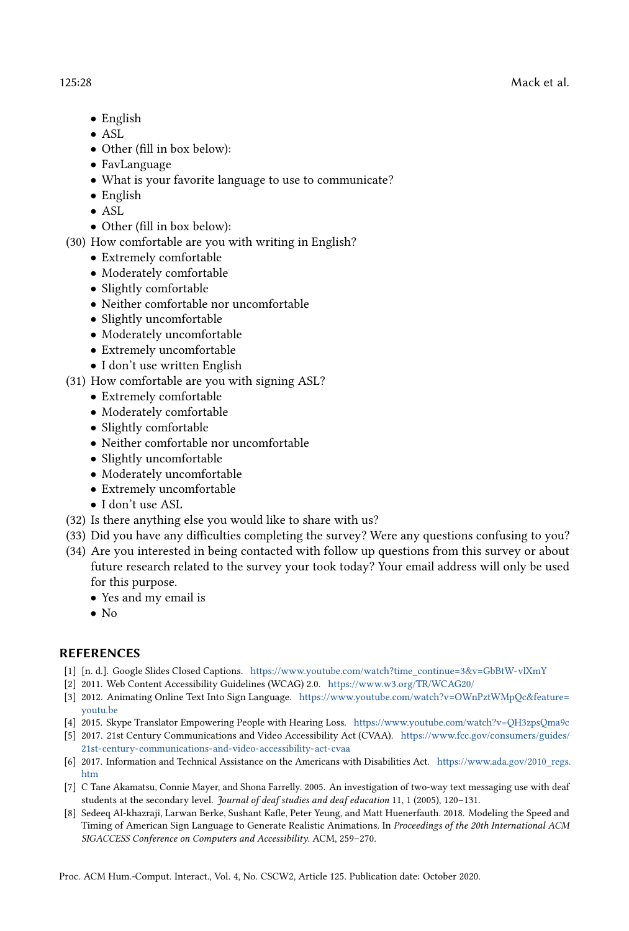- English
- ASL
- Other (fill in box below):
- FavLanguage
- What is your favorite language to use to communicate?
- English
- ASL
- Other (fill in box below):
- (30) How comfortable are you with writing in English?
	- Extremely comfortable
	- Moderately comfortable
	- Slightly comfortable
	- Neither comfortable nor uncomfortable
	- Slightly uncomfortable
	- Moderately uncomfortable
	- Extremely uncomfortable
	- I don't use written English
- (31) How comfortable are you with signing ASL?
	- Extremely comfortable
	- Moderately comfortable
	- Slightly comfortable
	- Neither comfortable nor uncomfortable
	- Slightly uncomfortable
	- Moderately uncomfortable
	- Extremely uncomfortable
	- I don't use ASL
- (32) Is there anything else you would like to share with us?
- (33) Did you have any difficulties completing the survey? Were any questions confusing to you?
- (34) Are you interested in being contacted with follow up questions from this survey or about future research related to the survey your took today? Your email address will only be used for this purpose.
	- Yes and my email is
	- $\bullet$  No

### REFERENCES

- <span id="page-27-7"></span>[1] [n. d.]. Google Slides Closed Captions. [https://www.youtube.com/watch?time\\_continue=3&v=GbBtW-vlXmY](https://www.youtube.com/watch?time_continue=3&v=GbBtW-vlXmY)
- <span id="page-27-4"></span>[2] 2011. Web Content Accessibility Guidelines (WCAG) 2.0. <https://www.w3.org/TR/WCAG20/>
- <span id="page-27-2"></span>[3] 2012. Animating Online Text Into Sign Language. [https://www.youtube.com/watch?v=OWnPztWMpQc&feature=](https://www.youtube.com/watch?v=OWnPztWMpQc&feature=youtu.be) [youtu.be](https://www.youtube.com/watch?v=OWnPztWMpQc&feature=youtu.be)
- <span id="page-27-1"></span>[4] 2015. Skype Translator Empowering People with Hearing Loss. <https://www.youtube.com/watch?v=QH3zpsQma9c>
- <span id="page-27-5"></span>[5] 2017. 21st Century Communications and Video Accessibility Act (CVAA). [https://www.fcc.gov/consumers/guides/](https://www.fcc.gov/consumers/guides/21st-century-communications-and-video-accessibility-act-cvaa) [21st-century-communications-and-video-accessibility-act-cvaa](https://www.fcc.gov/consumers/guides/21st-century-communications-and-video-accessibility-act-cvaa)
- <span id="page-27-6"></span>[6] 2017. Information and Technical Assistance on the Americans with Disabilities Act. [https://www.ada.gov/2010\\_regs.](https://www.ada.gov/2010_regs.htm) [htm](https://www.ada.gov/2010_regs.htm)
- <span id="page-27-0"></span>[7] C Tane Akamatsu, Connie Mayer, and Shona Farrelly. 2005. An investigation of two-way text messaging use with deaf students at the secondary level. Journal of deaf studies and deaf education 11, 1 (2005), 120–131.
- <span id="page-27-3"></span>[8] Sedeeq Al-khazraji, Larwan Berke, Sushant Kafle, Peter Yeung, and Matt Huenerfauth. 2018. Modeling the Speed and Timing of American Sign Language to Generate Realistic Animations. In Proceedings of the 20th International ACM SIGACCESS Conference on Computers and Accessibility. ACM, 259–270.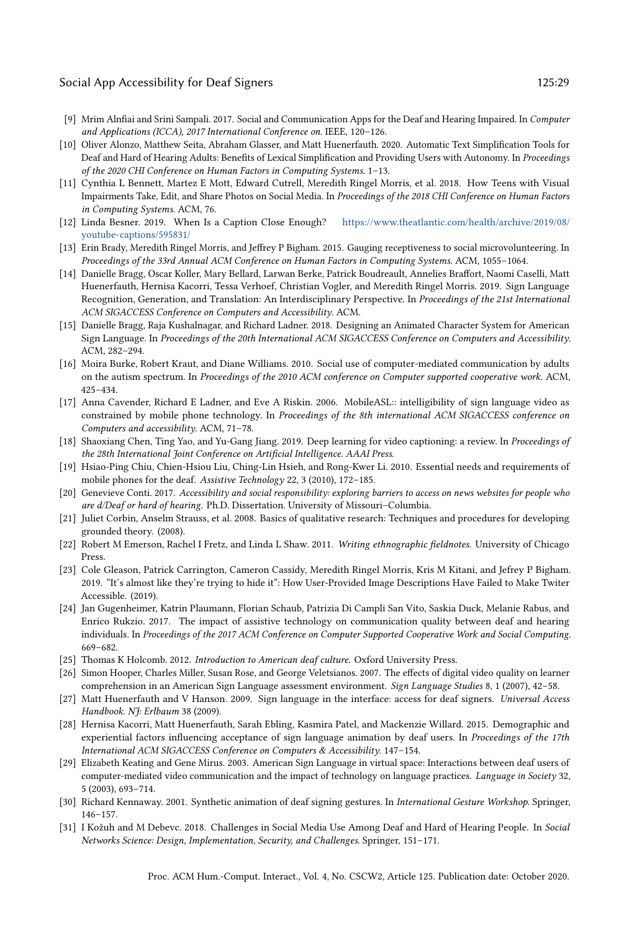#### Social App Accessibility for Deaf Signers 125:29 125:29

- <span id="page-28-11"></span>[9] Mrim Alnfiai and Srini Sampali. 2017. Social and Communication Apps for the Deaf and Hearing Impaired. In Computer and Applications (ICCA), 2017 International Conference on. IEEE, 120–126.
- <span id="page-28-15"></span>[10] Oliver Alonzo, Matthew Seita, Abraham Glasser, and Matt Huenerfauth. 2020. Automatic Text Simplification Tools for Deaf and Hard of Hearing Adults: Benefits of Lexical Simplification and Providing Users with Autonomy. In Proceedings of the 2020 CHI Conference on Human Factors in Computing Systems. 1–13.
- <span id="page-28-2"></span>[11] Cynthia L Bennett, Martez E Mott, Edward Cutrell, Meredith Ringel Morris, et al. 2018. How Teens with Visual Impairments Take, Edit, and Share Photos on Social Media. In Proceedings of the 2018 CHI Conference on Human Factors in Computing Systems. ACM, 76.
- <span id="page-28-21"></span>[12] Linda Besner. 2019. When Is a Caption Close Enough? [https://www.theatlantic.com/health/archive/2019/08/](https://www.theatlantic.com/health/archive/2019/08/youtube-captions/595831/) [youtube-captions/595831/](https://www.theatlantic.com/health/archive/2019/08/youtube-captions/595831/)
- <span id="page-28-22"></span>[13] Erin Brady, Meredith Ringel Morris, and Jeffrey P Bigham. 2015. Gauging receptiveness to social microvolunteering. In Proceedings of the 33rd Annual ACM Conference on Human Factors in Computing Systems. ACM, 1055–1064.
- <span id="page-28-5"></span>[14] Danielle Bragg, Oscar Koller, Mary Bellard, Larwan Berke, Patrick Boudreault, Annelies Braffort, Naomi Caselli, Matt Huenerfauth, Hernisa Kacorri, Tessa Verhoef, Christian Vogler, and Meredith Ringel Morris. 2019. Sign Language Recognition, Generation, and Translation: An Interdisciplinary Perspective. In Proceedings of the 21st International ACM SIGACCESS Conference on Computers and Accessibility. ACM.
- <span id="page-28-17"></span>[15] Danielle Bragg, Raja Kushalnagar, and Richard Ladner. 2018. Designing an Animated Character System for American Sign Language. In Proceedings of the 20th International ACM SIGACCESS Conference on Computers and Accessibility. ACM, 282–294.
- <span id="page-28-4"></span>[16] Moira Burke, Robert Kraut, and Diane Williams. 2010. Social use of computer-mediated communication by adults on the autism spectrum. In Proceedings of the 2010 ACM conference on Computer supported cooperative work. ACM, 425–434.
- <span id="page-28-8"></span>[17] Anna Cavender, Richard E Ladner, and Eve A Riskin. 2006. MobileASL:: intelligibility of sign language video as constrained by mobile phone technology. In Proceedings of the 8th international ACM SIGACCESS conference on Computers and accessibility. ACM, 71–78.
- <span id="page-28-14"></span>[18] Shaoxiang Chen, Ting Yao, and Yu-Gang Jiang. 2019. Deep learning for video captioning: a review. In Proceedings of the 28th International Joint Conference on Artificial Intelligence. AAAI Press.
- <span id="page-28-10"></span>[19] Hsiao-Ping Chiu, Chien-Hsiou Liu, Ching-Lin Hsieh, and Rong-Kwer Li. 2010. Essential needs and requirements of mobile phones for the deaf. Assistive Technology 22, 3 (2010), 172–185.
- <span id="page-28-0"></span>[20] Genevieve Conti. 2017. Accessibility and social responsibility: exploring barriers to access on news websites for people who are d/Deaf or hard of hearing. Ph.D. Dissertation. University of Missouri–Columbia.
- <span id="page-28-12"></span>[21] Juliet Corbin, Anselm Strauss, et al. 2008. Basics of qualitative research: Techniques and procedures for developing grounded theory. (2008).
- <span id="page-28-13"></span>[22] Robert M Emerson, Rachel I Fretz, and Linda L Shaw. 2011. Writing ethnographic fieldnotes. University of Chicago Press.
- <span id="page-28-3"></span>[23] Cole Gleason, Patrick Carrington, Cameron Cassidy, Meredith Ringel Morris, Kris M Kitani, and Jefrey P Bigham. 2019. "It's almost like they're trying to hide it": How User-Provided Image Descriptions Have Failed to Make Twiter Accessible. (2019).
- <span id="page-28-6"></span>[24] Jan Gugenheimer, Katrin Plaumann, Florian Schaub, Patrizia Di Campli San Vito, Saskia Duck, Melanie Rabus, and Enrico Rukzio. 2017. The impact of assistive technology on communication quality between deaf and hearing individuals. In Proceedings of the 2017 ACM Conference on Computer Supported Cooperative Work and Social Computing. 669–682.
- <span id="page-28-16"></span>[25] Thomas K Holcomb. 2012. Introduction to American deaf culture. Oxford University Press.
- <span id="page-28-9"></span>[26] Simon Hooper, Charles Miller, Susan Rose, and George Veletsianos. 2007. The effects of digital video quality on learner comprehension in an American Sign Language assessment environment. Sign Language Studies 8, 1 (2007), 42–58.
- <span id="page-28-18"></span>[27] Matt Huenerfauth and V Hanson. 2009. Sign language in the interface: access for deaf signers. Universal Access Handbook. NJ: Erlbaum 38 (2009).
- <span id="page-28-20"></span>[28] Hernisa Kacorri, Matt Huenerfauth, Sarah Ebling, Kasmira Patel, and Mackenzie Willard. 2015. Demographic and experiential factors influencing acceptance of sign language animation by deaf users. In Proceedings of the 17th International ACM SIGACCESS Conference on Computers & Accessibility. 147–154.
- <span id="page-28-7"></span>[29] Elizabeth Keating and Gene Mirus. 2003. American Sign Language in virtual space: Interactions between deaf users of computer-mediated video communication and the impact of technology on language practices. Language in Society 32, 5 (2003), 693–714.
- <span id="page-28-19"></span>[30] Richard Kennaway. 2001. Synthetic animation of deaf signing gestures. In International Gesture Workshop. Springer, 146–157.
- <span id="page-28-1"></span>[31] I Kožuh and M Debevc. 2018. Challenges in Social Media Use Among Deaf and Hard of Hearing People. In Social Networks Science: Design, Implementation, Security, and Challenges. Springer, 151–171.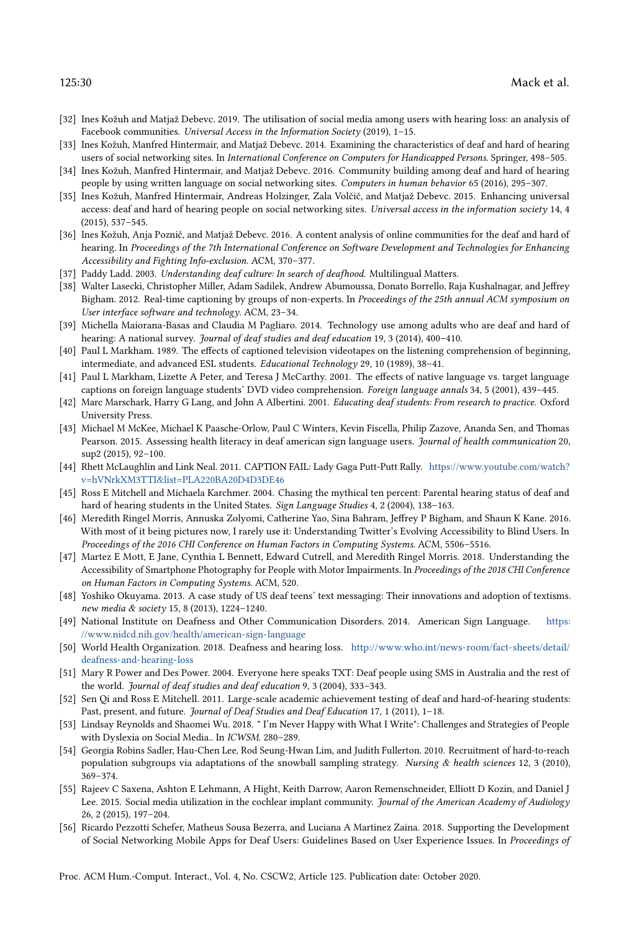- <span id="page-29-13"></span>[32] Ines Kožuh and Matjaž Debevc. 2019. The utilisation of social media among users with hearing loss: an analysis of Facebook communities. Universal Access in the Information Society (2019), 1–15.
- <span id="page-29-5"></span>[33] Ines Kožuh, Manfred Hintermair, and Matjaž Debevc. 2014. Examining the characteristics of deaf and hard of hearing users of social networking sites. In International Conference on Computers for Handicapped Persons. Springer, 498–505.
- <span id="page-29-18"></span>[34] Ines Kožuh, Manfred Hintermair, and Matjaž Debevc. 2016. Community building among deaf and hard of hearing people by using written language on social networking sites. Computers in human behavior 65 (2016), 295–307.
- <span id="page-29-12"></span>[35] Ines Kožuh, Manfred Hintermair, Andreas Holzinger, Zala Volčič, and Matjaž Debevc. 2015. Enhancing universal access: deaf and hard of hearing people on social networking sites. Universal access in the information society 14, 4 (2015), 537–545.
- <span id="page-29-6"></span>[36] Ines Kožuh, Anja Poznič, and Matjaž Debevc. 2016. A content analysis of online communities for the deaf and hard of hearing. In Proceedings of the 7th International Conference on Software Development and Technologies for Enhancing Accessibility and Fighting Info-exclusion. ACM, 370–377.
- <span id="page-29-20"></span>[37] Paddy Ladd. 2003. Understanding deaf culture: In search of deafhood. Multilingual Matters.
- <span id="page-29-24"></span>[38] Walter Lasecki, Christopher Miller, Adam Sadilek, Andrew Abumoussa, Donato Borrello, Raja Kushalnagar, and Jeffrey Bigham. 2012. Real-time captioning by groups of non-experts. In Proceedings of the 25th annual ACM symposium on User interface software and technology. ACM, 23–34.
- <span id="page-29-4"></span>[39] Michella Maiorana-Basas and Claudia M Pagliaro. 2014. Technology use among adults who are deaf and hard of hearing: A national survey. Journal of deaf studies and deaf education 19, 3 (2014), 400–410.
- <span id="page-29-21"></span>[40] Paul L Markham. 1989. The effects of captioned television videotapes on the listening comprehension of beginning, intermediate, and advanced ESL students. Educational Technology 29, 10 (1989), 38–41.
- <span id="page-29-22"></span>[41] Paul L Markham, Lizette A Peter, and Teresa J McCarthy. 2001. The effects of native language vs. target language captions on foreign language students' DVD video comprehension. Foreign language annals 34, 5 (2001), 439–445.
- <span id="page-29-3"></span>[42] Marc Marschark, Harry G Lang, and John A Albertini. 2001. Educating deaf students: From research to practice. Oxford University Press.
- <span id="page-29-1"></span>[43] Michael M McKee, Michael K Paasche-Orlow, Paul C Winters, Kevin Fiscella, Philip Zazove, Ananda Sen, and Thomas Pearson. 2015. Assessing health literacy in deaf american sign language users. Journal of health communication 20, sup2 (2015), 92–100.
- <span id="page-29-23"></span>[44] Rhett McLaughlin and Link Neal. 2011. CAPTION FAIL: Lady Gaga Putt-Putt Rally. [https://www.youtube.com/watch?](https://www.youtube.com/watch?v=hVNrkXM3TTI&list=PLA220BA20D4D3DE46) [v=hVNrkXM3TTI&list=PLA220BA20D4D3DE46](https://www.youtube.com/watch?v=hVNrkXM3TTI&list=PLA220BA20D4D3DE46)
- <span id="page-29-19"></span>[45] Ross E Mitchell and Michaela Karchmer. 2004. Chasing the mythical ten percent: Parental hearing status of deaf and hard of hearing students in the United States. Sign Language Studies 4, 2 (2004), 138–163.
- <span id="page-29-7"></span>[46] Meredith Ringel Morris, Annuska Zolyomi, Catherine Yao, Sina Bahram, Jeffrey P Bigham, and Shaun K Kane. 2016. With most of it being pictures now, I rarely use it: Understanding Twitter's Evolving Accessibility to Blind Users. In Proceedings of the 2016 CHI Conference on Human Factors in Computing Systems. ACM, 5506–5516.
- <span id="page-29-9"></span>[47] Martez E Mott, E Jane, Cynthia L Bennett, Edward Cutrell, and Meredith Ringel Morris. 2018. Understanding the Accessibility of Smartphone Photography for People with Motor Impairments. In Proceedings of the 2018 CHI Conference on Human Factors in Computing Systems. ACM, 520.
- <span id="page-29-14"></span>[48] Yoshiko Okuyama. 2013. A case study of US deaf teens' text messaging: Their innovations and adoption of textisms. new media & society 15, 8 (2013), 1224–1240.
- <span id="page-29-10"></span>[49] National Institute on Deafness and Other Communication Disorders. 2014. American Sign Language. [https:](https://www.nidcd.nih.gov/health/american-sign-language) [//www.nidcd.nih.gov/health/american-sign-language](https://www.nidcd.nih.gov/health/american-sign-language)
- <span id="page-29-0"></span>[50] World Health Organization. 2018. Deafness and hearing loss. [http://www.who.int/news-room/fact-sheets/detail/](http://www.who.int/news-room/fact-sheets/detail/deafness-and-hearing-loss) [deafness-and-hearing-loss](http://www.who.int/news-room/fact-sheets/detail/deafness-and-hearing-loss)
- <span id="page-29-15"></span>[51] Mary R Power and Des Power. 2004. Everyone here speaks TXT: Deaf people using SMS in Australia and the rest of the world. Journal of deaf studies and deaf education 9, 3 (2004), 333–343.
- <span id="page-29-2"></span>[52] Sen Qi and Ross E Mitchell. 2011. Large-scale academic achievement testing of deaf and hard-of-hearing students: Past, present, and future. Journal of Deaf Studies and Deaf Education 17, 1 (2011), 1-18.
- <span id="page-29-8"></span>[53] Lindsay Reynolds and Shaomei Wu. 2018. " I'm Never Happy with What I Write": Challenges and Strategies of People with Dyslexia on Social Media.. In ICWSM. 280–289.
- <span id="page-29-17"></span>[54] Georgia Robins Sadler, Hau-Chen Lee, Rod Seung-Hwan Lim, and Judith Fullerton. 2010. Recruitment of hard-to-reach population subgroups via adaptations of the snowball sampling strategy. Nursing & health sciences 12, 3 (2010), 369–374.
- <span id="page-29-11"></span>[55] Rajeev C Saxena, Ashton E Lehmann, A Hight, Keith Darrow, Aaron Remenschneider, Elliott D Kozin, and Daniel J Lee. 2015. Social media utilization in the cochlear implant community. Journal of the American Academy of Audiology 26, 2 (2015), 197–204.
- <span id="page-29-16"></span>[56] Ricardo Pezzotti Schefer, Matheus Sousa Bezerra, and Luciana A Martinez Zaina. 2018. Supporting the Development of Social Networking Mobile Apps for Deaf Users: Guidelines Based on User Experience Issues. In Proceedings of

Proc. ACM Hum.-Comput. Interact., Vol. 4, No. CSCW2, Article 125. Publication date: October 2020.